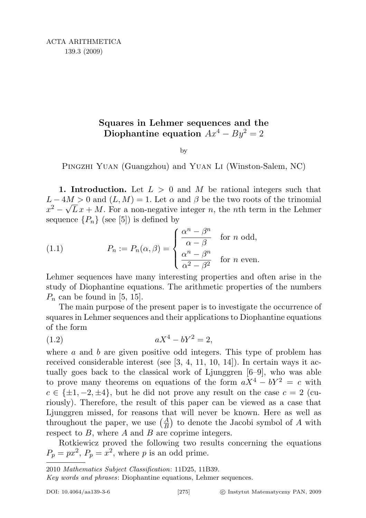## Squares in Lehmer sequences and the Diophantine equation  $Ax^4 - By^2 = 2$

by

PINGZHI YUAN (Guangzhou) and YUAN LI (Winston-Salem, NC)

1. Introduction. Let  $L > 0$  and M be rational integers such that  $L - 4M > 0$  and  $(L, M) = 1$ . Let  $\alpha$  and  $\beta$  be the two roots of the trinomial  $x^2 - \sqrt{L}x + M$ . For a non-negative integer n, the nth term in the Lehmer sequence  $\{P_n\}$  (see [5]) is defined by

(1.1) 
$$
P_n := P_n(\alpha, \beta) = \begin{cases} \frac{\alpha^n - \beta^n}{\alpha - \beta} & \text{for } n \text{ odd,} \\ \frac{\alpha^n - \beta^n}{\alpha^2 - \beta^2} & \text{for } n \text{ even.} \end{cases}
$$

Lehmer sequences have many interesting properties and often arise in the study of Diophantine equations. The arithmetic properties of the numbers  $P_n$  can be found in [5, 15].

The main purpose of the present paper is to investigate the occurrence of squares in Lehmer sequences and their applications to Diophantine equations of the form

(1.2) 
$$
aX^4 - bY^2 = 2,
$$

where  $a$  and  $b$  are given positive odd integers. This type of problem has received considerable interest (see [3, 4, 11, 10, 14]). In certain ways it actually goes back to the classical work of Ljunggren [6–9], who was able to prove many theorems on equations of the form  $aX^4 - bY^2 = c$  with  $c \in {\pm 1, -2, \pm 4}$ , but he did not prove any result on the case  $c = 2$  (curiously). Therefore, the result of this paper can be viewed as a case that Ljunggren missed, for reasons that will never be known. Here as well as throughout the paper, we use  $\left(\frac{A}{B}\right)$  to denote the Jacobi symbol of A with respect to  $B$ , where  $A$  and  $B$  are coprime integers.

Rotkiewicz proved the following two results concerning the equations  $P_p = px^2$ ,  $P_p = x^2$ , where p is an odd prime.

Key words and phrases: Diophantine equations, Lehmer sequences.

<sup>2010</sup> Mathematics Subject Classification: 11D25, 11B39.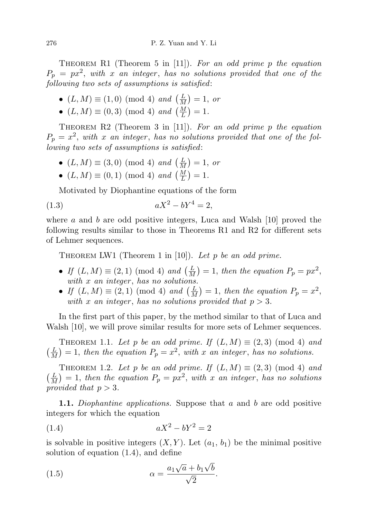THEOREM R1 (Theorem 5 in [11]). For an odd prime p the equation  $P_p = px^2$ , with x an integer, has no solutions provided that one of the following two sets of assumptions is satisfied:

- $(L, M) \equiv (1, 0) \pmod{4}$  and  $\left(\frac{L}{M}\right)$  $\frac{L}{M}$ ) = 1, or
- $(L, M) \equiv (0, 3) \pmod{4}$  and  $\left(\frac{M}{L}\right) = 1$ .

THEOREM  $R2$  (Theorem 3 in [11]). For an odd prime p the equation  $P_p = x^2$ , with x an integer, has no solutions provided that one of the following two sets of assumptions is satisfied:

- $(L, M) \equiv (3, 0) \pmod{4}$  and  $\left(\frac{L}{M}\right)$  $\frac{L}{M}$ ) = 1, or
- $(L, M) \equiv (0, 1) \pmod{4}$  and  $\left(\frac{M}{L}\right) = 1$ .

Motivated by Diophantine equations of the form

(1.3) 
$$
aX^2 - bY^4 = 2,
$$

where  $a$  and  $b$  are odd positive integers, Luca and Walsh [10] proved the following results similar to those in Theorems R1 and R2 for different sets of Lehmer sequences.

THEOREM LW1 (Theorem 1 in [10]). Let p be an odd prime.

- If  $(L, M) \equiv (2, 1) \pmod{4}$  and  $\left(\frac{L}{M}\right)$  $\frac{L}{M}$ ) = 1, then the equation  $P_p = px^2$ , with  $x$  an integer, has no solutions.
- If  $(L, M) \equiv (2, 1) \pmod{4}$  and  $\left(\frac{L}{M}\right)$  $\frac{L}{M}$ ) = 1, then the equation  $P_p = x^2$ , with x an integer, has no solutions provided that  $p > 3$ .

In the first part of this paper, by the method similar to that of Luca and Walsh [10], we will prove similar results for more sets of Lehmer sequences.

THEOREM 1.1. Let p be an odd prime. If  $(L, M) \equiv (2, 3) \pmod{4}$  and  $\left(\frac{L}{\Lambda}\right)$  $\frac{L}{M}$ ) = 1, then the equation  $P_p = x^2$ , with x an integer, has no solutions.

THEOREM 1.2. Let p be an odd prime. If  $(L, M) \equiv (2, 3) \pmod{4}$  and  $\left(\frac{L}{\Lambda}\right)$  $\frac{L}{M}$ ) = 1, then the equation  $P_p = px^2$ , with x an integer, has no solutions provided that  $p > 3$ .

1.1. Diophantine applications. Suppose that a and b are odd positive integers for which the equation

(1.4) 
$$
aX^2 - bY^2 = 2
$$

is solvable in positive integers  $(X, Y)$ . Let  $(a_1, b_1)$  be the minimal positive solution of equation (1.4), and define

(1.5) 
$$
\alpha = \frac{a_1\sqrt{a} + b_1\sqrt{b}}{\sqrt{2}}.
$$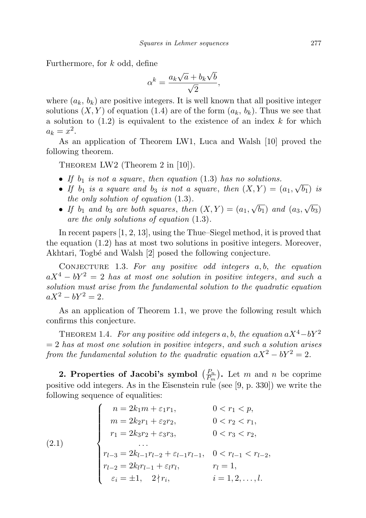Furthermore, for k odd, define

$$
\alpha^k = \frac{a_k \sqrt{a} + b_k \sqrt{b}}{\sqrt{2}},
$$

where  $(a_k, b_k)$  are positive integers. It is well known that all positive integer solutions  $(X, Y)$  of equation (1.4) are of the form  $(a_k, b_k)$ . Thus we see that a solution to  $(1.2)$  is equivalent to the existence of an index k for which  $a_k = x^2$ .

As an application of Theorem LW1, Luca and Walsh [10] proved the following theorem.

Theorem LW2 (Theorem 2 in [10]).

- If  $b_1$  is not a square, then equation (1.3) has no solutions.
- If  $b_1$  is a square and  $b_3$  is not a square, then  $(X, Y) = (a_1,$ √  $(b_1)$  is the only solution of equation (1.3). √ √
- If  $b_1$  and  $b_3$  are both squares, then  $(X, Y) = (a_1,$  $(b_1)$  and  $(a_3,$  $^{\prime} b_3)$ are the only solutions of equation (1.3).

In recent papers [1, 2, 13], using the Thue–Siegel method, it is proved that the equation (1.2) has at most two solutions in positive integers. Moreover, Akhtari, Togbé and Walsh [2] posed the following conjecture.

CONJECTURE 1.3. For any positive odd integers  $a, b$ , the equation  $aX^4 - bY^2 = 2$  has at most one solution in positive integers, and such a solution must arise from the fundamental solution to the quadratic equation  $aX^2 - bY^2 = 2.$ 

As an application of Theorem 1.1, we prove the following result which confirms this conjecture.

THEOREM 1.4. For any positive odd integers a, b, the equation  $aX^4-bY^2$  $= 2$  has at most one solution in positive integers, and such a solution arises from the fundamental solution to the quadratic equation  $aX^2 - bY^2 = 2$ .

2. Properties of Jacobi's symbol  $\left(\frac{P_n}{P}\right)$  $\frac{P_n}{P_m}$ ). Let m and n be coprime positive odd integers. As in the Eisenstein rule (see [9, p. 330]) we write the following sequence of equalities:

(2.1)  

$$
\begin{cases}\nn = 2k_1m + \varepsilon_1r_1, & 0 < r_1 < p, \\
m = 2k_2r_1 + \varepsilon_2r_2, & 0 < r_2 < r_1, \\
r_1 = 2k_3r_2 + \varepsilon_3r_3, & 0 < r_3 < r_2, \\
\dots \\
r_{l-3} = 2k_{l-1}r_{l-2} + \varepsilon_{l-1}r_{l-1}, & 0 < r_{l-1} < r_{l-2}, \\
r_{l-2} = 2k_lr_{l-1} + \varepsilon_lr_l, & r_l = 1, \\
\varepsilon_i = \pm 1, & 2 \nmid r_i, & i = 1, 2, \dots, l.\n\end{cases}
$$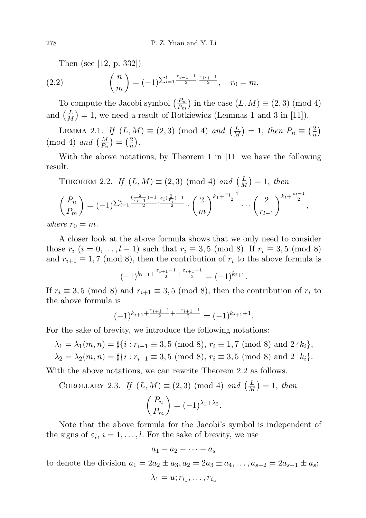Then (see [12, p. 332])

(2.2) 
$$
\left(\frac{n}{m}\right) = (-1)^{\sum_{i=1}^{l} \frac{r_{i-1}-1}{2} \cdot \frac{\varepsilon_i r_i - 1}{2}}, \quad r_0 = m.
$$

To compute the Jacobi symbol  $\left(\frac{P_n}{P_m}\right)$  $\frac{P_n}{P_m}$ ) in the case  $(L, M) \equiv (2, 3) \pmod{4}$ and  $\left(\frac{L}{M}\right)$  $\frac{L}{M}$  = 1, we need a result of Rotkiewicz (Lemmas 1 and 3 in [11]).

LEMMA 2.1. If  $(L, M) \equiv (2, 3) \pmod{4}$  and  $\left(\frac{L}{M}\right)$  $\frac{L}{M}$ ) = 1, then  $P_n \equiv \left(\frac{2}{n}\right)$  $\frac{2}{n}$ (mod 4) and  $\left(\frac{M}{P_n}\right) = \left(\frac{2}{n}\right)$  $\frac{2}{n}$ .

With the above notations, by Theorem 1 in [11] we have the following result.

THEOREM 2.2. If 
$$
(L, M) \equiv (2, 3) \pmod{4}
$$
 and  $\left(\frac{L}{M}\right) = 1$ , then  
\n
$$
\left(\frac{P_n}{P_m}\right) = (-1)^{\sum_{i=1}^l \frac{\left(\frac{2}{r_{i-1}}\right) - 1}{2} \cdot \frac{\varepsilon_i \left(\frac{2}{r_i}\right) - 1}{2}} \cdot \left(\frac{2}{m}\right)^{k_1 + \frac{\varepsilon_1 - 1}{2}} \cdots \left(\frac{2}{r_{l-1}}\right)^{k_l + \frac{\varepsilon_{l-1}}{2}},
$$

where  $r_0 = m$ .

A closer look at the above formula shows that we only need to consider those  $r_i$   $(i = 0, ..., l - 1)$  such that  $r_i \equiv 3, 5 \pmod{8}$ . If  $r_i \equiv 3, 5 \pmod{8}$ and  $r_{i+1} \equiv 1, 7 \pmod{8}$ , then the contribution of  $r_i$  to the above formula is

$$
(-1)^{k_{i+1} + \frac{\varepsilon_{i+1} - 1}{2} + \frac{\varepsilon_{i+1} - 1}{2}} = (-1)^{k_{i+1}}.
$$

If  $r_i \equiv 3, 5 \pmod{8}$  and  $r_{i+1} \equiv 3, 5 \pmod{8}$ , then the contribution of  $r_i$  to the above formula is

$$
(-1)^{k_{i+1}+\frac{\varepsilon_{i+1}-1}{2}+\frac{-\varepsilon_{i+1}-1}{2}} = (-1)^{k_{i+1}+1}.
$$

For the sake of brevity, we introduce the following notations:

$$
\lambda_1 = \lambda_1(m, n) = \sharp\{i : r_{i-1} \equiv 3, 5 \pmod{8}, r_i \equiv 1, 7 \pmod{8} \text{ and } 2 \nmid k_i\},\
$$
  

$$
\lambda_2 = \lambda_2(m, n) = \sharp\{i : r_{i-1} \equiv 3, 5 \pmod{8}, r_i \equiv 3, 5 \pmod{8} \text{ and } 2 \mid k_i\}.
$$

With the above notations, we can rewrite Theorem 2.2 as follows.

COROLLARY 2.3. If  $(L, M) \equiv (2, 3) \pmod{4}$  and  $\left(\frac{L}{M}\right)$  $\frac{L}{M}$ ) = 1, then

$$
\left(\frac{P_n}{P_m}\right) = (-1)^{\lambda_1 + \lambda_2}.
$$

Note that the above formula for the Jacobi's symbol is independent of the signs of  $\varepsilon_i$ ,  $i = 1, \ldots, l$ . For the sake of brevity, we use

$$
a_1-a_2-\cdots-a_s
$$

to denote the division  $a_1 = 2a_2 \pm a_3$ ,  $a_2 = 2a_3 \pm a_4$ , ...,  $a_{s-2} = 2a_{s-1} \pm a_s$ ;

$$
\lambda_1=u;r_{i_1},\ldots,r_{i_u}
$$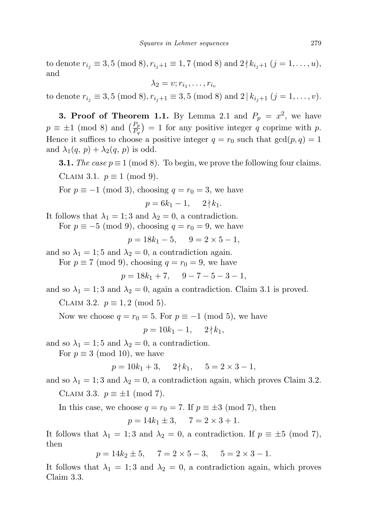to denote  $r_{i_j} \equiv 3, 5 \pmod{8}, r_{i_j+1} \equiv 1, 7 \pmod{8}$  and  $2 \nmid k_{i_j+1} (j = 1, \ldots, u)$ , and

$$
\lambda_2=v;r_{i_1},\ldots,r_{i_v}
$$

to denote  $r_{i_j} \equiv 3, 5 \pmod{8}, r_{i_j+1} \equiv 3, 5 \pmod{8}$  and  $2 | k_{i_j+1} (j = 1, \ldots, v)$ .

**3. Proof of Theorem 1.1.** By Lemma 2.1 and  $P_p = x^2$ , we have  $p \equiv \pm 1 \pmod{8}$  and  $\left(\frac{P_p}{P_q}\right) = 1$  for any positive integer q coprime with p. Hence it suffices to choose a positive integer  $q = r_0$  such that  $gcd(p, q) = 1$ and  $\lambda_1(q, p) + \lambda_2(q, p)$  is odd.

**3.1.** The case  $p \equiv 1 \pmod{8}$ . To begin, we prove the following four claims. CLAIM 3.1.  $p \equiv 1 \pmod{9}$ .

For  $p \equiv -1 \pmod{3}$ , choosing  $q = r_0 = 3$ , we have

$$
p = 6k_1 - 1, \quad 2 \nmid k_1.
$$

It follows that  $\lambda_1 = 1$ ; 3 and  $\lambda_2 = 0$ , a contradiction.

For  $p \equiv -5 \pmod{9}$ , choosing  $q = r_0 = 9$ , we have

$$
p = 18k_1 - 5, \quad 9 = 2 \times 5 - 1,
$$

and so  $\lambda_1 = 1$ ; 5 and  $\lambda_2 = 0$ , a contradiction again.

For  $p \equiv 7 \pmod{9}$ , choosing  $q = r_0 = 9$ , we have

$$
p = 18k_1 + 7, \quad 9 - 7 - 5 - 3 - 1,
$$

and so  $\lambda_1 = 1$ ; 3 and  $\lambda_2 = 0$ , again a contradiction. Claim 3.1 is proved.

CLAIM 3.2.  $p \equiv 1, 2 \pmod{5}$ .

Now we choose  $q = r_0 = 5$ . For  $p \equiv -1 \pmod{5}$ , we have

$$
p = 10k_1 - 1, \quad 2 \nmid k_1,
$$

and so  $\lambda_1 = 1$ ; 5 and  $\lambda_2 = 0$ , a contradiction.

For  $p \equiv 3 \pmod{10}$ , we have

$$
p = 10k_1 + 3, \quad 2 \nmid k_1, \quad 5 = 2 \times 3 - 1,
$$

and so  $\lambda_1 = 1$ ; 3 and  $\lambda_2 = 0$ , a contradiction again, which proves Claim 3.2.

CLAIM 3.3.  $p \equiv \pm 1 \pmod{7}$ .

In this case, we choose  $q = r_0 = 7$ . If  $p \equiv \pm 3 \pmod{7}$ , then

$$
p = 14k_1 \pm 3, \quad 7 = 2 \times 3 + 1.
$$

It follows that  $\lambda_1 = 1; 3$  and  $\lambda_2 = 0$ , a contradiction. If  $p \equiv \pm 5 \pmod{7}$ , then

$$
p = 14k_2 \pm 5, \quad 7 = 2 \times 5 - 3, \quad 5 = 2 \times 3 - 1.
$$

It follows that  $\lambda_1 = 1$ ; 3 and  $\lambda_2 = 0$ , a contradiction again, which proves Claim 3.3.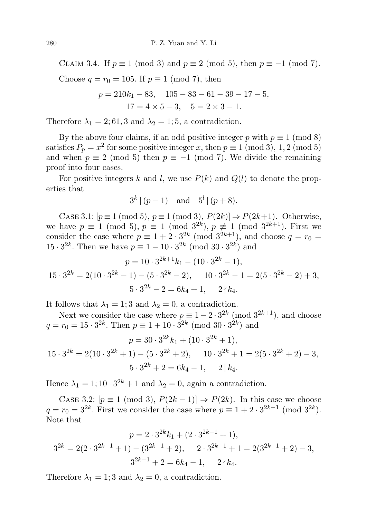CLAIM 3.4. If  $p \equiv 1 \pmod{3}$  and  $p \equiv 2 \pmod{5}$ , then  $p \equiv -1 \pmod{7}$ . Choose  $q = r_0 = 105$ . If  $p \equiv 1 \pmod{7}$ , then

$$
p = 210k1 - 83, 105 - 83 - 61 - 39 - 17 - 5,
$$
  

$$
17 = 4 \times 5 - 3, 5 = 2 \times 3 - 1.
$$

Therefore  $\lambda_1 = 2; 61, 3$  and  $\lambda_2 = 1; 5$ , a contradiction.

By the above four claims, if an odd positive integer p with  $p \equiv 1 \pmod{8}$ satisfies  $P_p = x^2$  for some positive integer x, then  $p \equiv 1 \pmod{3}$ , 1, 2 (mod 5) and when  $p \equiv 2 \pmod{5}$  then  $p \equiv -1 \pmod{7}$ . We divide the remaining proof into four cases.

For positive integers k and l, we use  $P(k)$  and  $Q(l)$  to denote the properties that

$$
3^{k} | (p-1)
$$
 and  $5^{l} | (p+8)$ .

CASE 3.1:  $[p \equiv 1 \pmod{5}, p \equiv 1 \pmod{3}, P(2k) \Rightarrow P(2k+1)$ . Otherwise, we have  $p \equiv 1 \pmod{5}$ ,  $p \equiv 1 \pmod{3^{2k}}$ ,  $p \not\equiv 1 \pmod{3^{2k+1}}$ . First we consider the case where  $p \equiv 1 + 2 \cdot 3^{2k} \pmod{3^{2k+1}}$ , and choose  $q = r_0$  $15 \cdot 3^{2k}$ . Then we have  $p \equiv 1 - 10 \cdot 3^{2k} \pmod{30 \cdot 3^{2k}}$  and

$$
p = 10 \cdot 3^{2k+1} k_1 - (10 \cdot 3^{2k} - 1),
$$
  
\n
$$
15 \cdot 3^{2k} = 2(10 \cdot 3^{2k} - 1) - (5 \cdot 3^{2k} - 2), \quad 10 \cdot 3^{2k} - 1 = 2(5 \cdot 3^{2k} - 2) + 3,
$$
  
\n
$$
5 \cdot 3^{2k} - 2 = 6k_4 + 1, \quad 2 \nmid k_4.
$$

It follows that  $\lambda_1 = 1$ ; 3 and  $\lambda_2 = 0$ , a contradiction.

Next we consider the case where  $p \equiv 1 - 2 \cdot 3^{2k} \pmod{3^{2k+1}}$ , and choose  $q = r_0 = 15 \cdot 3^{2k}$ . Then  $p \equiv 1 + 10 \cdot 3^{2k} \pmod{30 \cdot 3^{2k}}$  and

$$
p = 30 \cdot 3^{2k} k_1 + (10 \cdot 3^{2k} + 1),
$$
  
\n
$$
15 \cdot 3^{2k} = 2(10 \cdot 3^{2k} + 1) - (5 \cdot 3^{2k} + 2), \quad 10 \cdot 3^{2k} + 1 = 2(5 \cdot 3^{2k} + 2) - 3,
$$
  
\n
$$
5 \cdot 3^{2k} + 2 = 6k_4 - 1, \quad 2 \mid k_4.
$$

Hence  $\lambda_1 = 1; 10 \cdot 3^{2k} + 1$  and  $\lambda_2 = 0$ , again a contradiction.

CASE 3.2:  $[p \equiv 1 \pmod{3}, P(2k-1)] \Rightarrow P(2k)$ . In this case we choose  $q = r_0 = 3^{2k}$ . First we consider the case where  $p \equiv 1 + 2 \cdot 3^{2k-1} \pmod{3^{2k}}$ . Note that

$$
p = 2 \cdot 3^{2k} k_1 + (2 \cdot 3^{2k-1} + 1),
$$
  
\n
$$
3^{2k} = 2(2 \cdot 3^{2k-1} + 1) - (3^{2k-1} + 2), \qquad 2 \cdot 3^{2k-1} + 1 = 2(3^{2k-1} + 2) - 3,
$$
  
\n
$$
3^{2k-1} + 2 = 6k_4 - 1, \qquad 2 \nmid k_4.
$$

Therefore  $\lambda_1 = 1$ ; 3 and  $\lambda_2 = 0$ , a contradiction.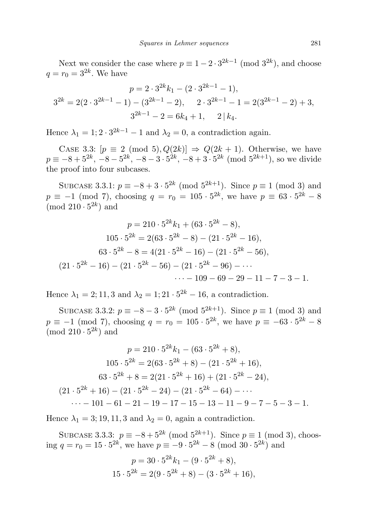Next we consider the case where  $p \equiv 1 - 2 \cdot 3^{2k-1} \pmod{3^{2k}}$ , and choose  $q = r_0 = 3^{2k}$ . We have

$$
p = 2 \cdot 3^{2k} k_1 - (2 \cdot 3^{2k-1} - 1),
$$
  
\n
$$
3^{2k} = 2(2 \cdot 3^{2k-1} - 1) - (3^{2k-1} - 2), \qquad 2 \cdot 3^{2k-1} - 1 = 2(3^{2k-1} - 2) + 3,
$$
  
\n
$$
3^{2k-1} - 2 = 6k_4 + 1, \qquad 2 \mid k_4.
$$

Hence  $\lambda_1 = 1$ ;  $2 \cdot 3^{2k-1} - 1$  and  $\lambda_2 = 0$ , a contradiction again.

CASE 3.3:  $[p \equiv 2 \pmod{5}, Q(2k)] \Rightarrow Q(2k+1)$ . Otherwise, we have  $p \equiv -8 + 5^{2k}, -8 - 5^{2k}, -8 - 3 \cdot 5^{2k}, -8 + 3 \cdot 5^{2k} \pmod{5^{2k+1}}$ , so we divide the proof into four subcases.

SUBCASE 3.3.1:  $p \equiv -8 + 3 \cdot 5^{2k} \pmod{5^{2k+1}}$ . Since  $p \equiv 1 \pmod{3}$  and  $p \equiv -1 \pmod{7}$ , choosing  $q = r_0 = 105 \cdot 5^{2k}$ , we have  $p \equiv 63 \cdot 5^{2k} - 8$ (mod  $210 \cdot 5^{2k}$ ) and

$$
p = 210 \cdot 5^{2k} k_1 + (63 \cdot 5^{2k} - 8),
$$
  
\n
$$
105 \cdot 5^{2k} = 2(63 \cdot 5^{2k} - 8) - (21 \cdot 5^{2k} - 16),
$$
  
\n
$$
63 \cdot 5^{2k} - 8 = 4(21 \cdot 5^{2k} - 16) - (21 \cdot 5^{2k} - 56),
$$
  
\n
$$
(21 \cdot 5^{2k} - 16) - (21 \cdot 5^{2k} - 56) - (21 \cdot 5^{2k} - 96) - \cdots
$$
  
\n
$$
\cdots - 109 - 69 - 29 - 11 - 7 - 3 - 1.
$$

Hence  $\lambda_1 = 2; 11, 3$  and  $\lambda_2 = 1; 21 \cdot 5^{2k} - 16$ , a contradiction.

SUBCASE 3.3.2:  $p \equiv -8 - 3 \cdot 5^{2k} \pmod{5^{2k+1}}$ . Since  $p \equiv 1 \pmod{3}$  and  $p \equiv -1 \pmod{7}$ , choosing  $q = r_0 = 105 \cdot 5^{2k}$ , we have  $p \equiv -63 \cdot 5^{2k} - 8$  $\pmod{210\cdot 5^{2k}}$  and

$$
p = 210 \cdot 5^{2k} k_1 - (63 \cdot 5^{2k} + 8),
$$
  
\n
$$
105 \cdot 5^{2k} = 2(63 \cdot 5^{2k} + 8) - (21 \cdot 5^{2k} + 16),
$$
  
\n
$$
63 \cdot 5^{2k} + 8 = 2(21 \cdot 5^{2k} + 16) + (21 \cdot 5^{2k} - 24),
$$
  
\n
$$
(21 \cdot 5^{2k} + 16) - (21 \cdot 5^{2k} - 24) - (21 \cdot 5^{2k} - 64) - \cdots
$$
  
\n
$$
\cdots - 101 - 61 - 21 - 19 - 17 - 15 - 13 - 11 - 9 - 7 - 5 - 3 - 1.
$$

Hence  $\lambda_1 = 3; 19, 11, 3$  and  $\lambda_2 = 0$ , again a contradiction.

SUBCASE 3.3.3:  $p \equiv -8 + 5^{2k} \pmod{5^{2k+1}}$ . Since  $p \equiv 1 \pmod{3}$ , choosing  $q = r_0 = 15 \cdot 5^{2k}$ , we have  $p \equiv -9 \cdot 5^{2k} - 8 \pmod{30 \cdot 5^{2k}}$  and

$$
p = 30 \cdot 5^{2k} k_1 - (9 \cdot 5^{2k} + 8),
$$
  

$$
15 \cdot 5^{2k} = 2(9 \cdot 5^{2k} + 8) - (3 \cdot 5^{2k} + 16),
$$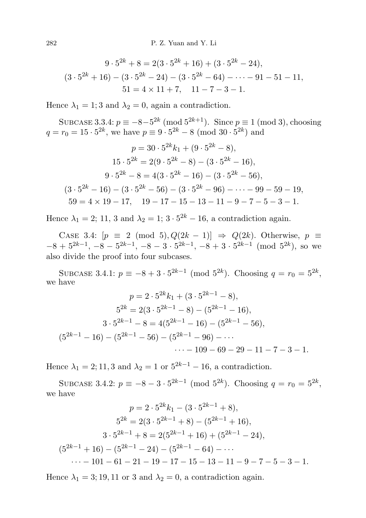$$
9 \cdot 5^{2k} + 8 = 2(3 \cdot 5^{2k} + 16) + (3 \cdot 5^{2k} - 24),
$$
  

$$
(3 \cdot 5^{2k} + 16) - (3 \cdot 5^{2k} - 24) - (3 \cdot 5^{2k} - 64) - \dots - 91 - 51 - 11,
$$
  

$$
51 = 4 \times 11 + 7, \quad 11 - 7 - 3 - 1.
$$

Hence  $\lambda_1 = 1$ ; 3 and  $\lambda_2 = 0$ , again a contradiction.

SUBCASE 3.3.4:  $p \equiv -8 - 5^{2k} \pmod{5^{2k+1}}$ . Since  $p \equiv 1 \pmod{3}$ , choosing  $q = r_0 = 15 \cdot 5^{2k}$ , we have  $p \equiv 9 \cdot 5^{2k} - 8 \pmod{30 \cdot 5^{2k}}$  and

$$
p = 30 \cdot 5^{2k} k_1 + (9 \cdot 5^{2k} - 8),
$$
  
\n
$$
15 \cdot 5^{2k} = 2(9 \cdot 5^{2k} - 8) - (3 \cdot 5^{2k} - 16),
$$
  
\n
$$
9 \cdot 5^{2k} - 8 = 4(3 \cdot 5^{2k} - 16) - (3 \cdot 5^{2k} - 56),
$$
  
\n
$$
(3 \cdot 5^{2k} - 16) - (3 \cdot 5^{2k} - 56) - (3 \cdot 5^{2k} - 96) - \dots - 99 - 59 - 19,
$$
  
\n
$$
59 = 4 \times 19 - 17, \quad 19 - 17 - 15 - 13 - 11 - 9 - 7 - 5 - 3 - 1.
$$

Hence  $\lambda_1 = 2$ ; 11, 3 and  $\lambda_2 = 1$ ;  $3 \cdot 5^{2k} - 16$ , a contradiction again.

CASE 3.4:  $[p \equiv 2 \pmod{5}, Q(2k-1)] \Rightarrow Q(2k)$ . Otherwise,  $p \equiv$  $-8 + 5^{2k-1}$ ,  $-8 - 5^{2k-1}$ ,  $-8 - 3 \cdot 5^{2k-1}$ ,  $-8 + 3 \cdot 5^{2k-1}$  (mod  $5^{2k}$ ), so we also divide the proof into four subcases.

SUBCASE 3.4.1:  $p \equiv -8 + 3 \cdot 5^{2k-1} \pmod{5^{2k}}$ . Choosing  $q = r_0 = 5^{2k}$ , we have

$$
p = 2 \cdot 5^{2k} k_1 + (3 \cdot 5^{2k-1} - 8),
$$
  
\n
$$
5^{2k} = 2(3 \cdot 5^{2k-1} - 8) - (5^{2k-1} - 16),
$$
  
\n
$$
3 \cdot 5^{2k-1} - 8 = 4(5^{2k-1} - 16) - (5^{2k-1} - 56),
$$
  
\n
$$
(5^{2k-1} - 16) - (5^{2k-1} - 56) - (5^{2k-1} - 96) - \cdots
$$
  
\n
$$
\cdots - 109 - 69 - 29 - 11 - 7 - 3 - 1.
$$

Hence  $\lambda_1 = 2$ ; 11, 3 and  $\lambda_2 = 1$  or  $5^{2k-1} - 16$ , a contradiction.

SUBCASE 3.4.2:  $p \equiv -8 - 3 \cdot 5^{2k-1} \pmod{5^{2k}}$ . Choosing  $q = r_0 = 5^{2k}$ , we have

$$
p = 2 \cdot 5^{2k} k_1 - (3 \cdot 5^{2k-1} + 8),
$$
  
\n
$$
5^{2k} = 2(3 \cdot 5^{2k-1} + 8) - (5^{2k-1} + 16),
$$
  
\n
$$
3 \cdot 5^{2k-1} + 8 = 2(5^{2k-1} + 16) + (5^{2k-1} - 24),
$$
  
\n
$$
(5^{2k-1} + 16) - (5^{2k-1} - 24) - (5^{2k-1} - 64) - \cdots
$$
  
\n
$$
\cdots - 101 - 61 - 21 - 19 - 17 - 15 - 13 - 11 - 9 - 7 - 5 - 3 - 1.
$$

Hence  $\lambda_1 = 3; 19, 11$  or 3 and  $\lambda_2 = 0$ , a contradiction again.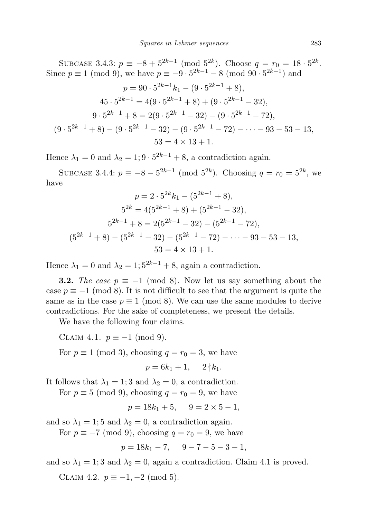SUBCASE 3.4.3:  $p \equiv -8 + 5^{2k-1} \pmod{5^{2k}}$ . Choose  $q = r_0 = 18 \cdot 5^{2k}$ . Since  $p \equiv 1 \pmod{9}$ , we have  $p \equiv -9 \cdot 5^{2k-1} - 8 \pmod{90 \cdot 5^{2k-1}}$  and

$$
p = 90 \cdot 5^{2k-1}k_1 - (9 \cdot 5^{2k-1} + 8),
$$
  
\n
$$
45 \cdot 5^{2k-1} = 4(9 \cdot 5^{2k-1} + 8) + (9 \cdot 5^{2k-1} - 32),
$$
  
\n
$$
9 \cdot 5^{2k-1} + 8 = 2(9 \cdot 5^{2k-1} - 32) - (9 \cdot 5^{2k-1} - 72),
$$
  
\n
$$
(9 \cdot 5^{2k-1} + 8) - (9 \cdot 5^{2k-1} - 32) - (9 \cdot 5^{2k-1} - 72) - \dots - 93 - 53 - 13,
$$
  
\n
$$
53 = 4 \times 13 + 1.
$$

Hence  $\lambda_1 = 0$  and  $\lambda_2 = 1$ ;  $9 \cdot 5^{2k-1} + 8$ , a contradiction again.

SUBCASE 3.4.4:  $p \equiv -8 - 5^{2k-1} \pmod{5^{2k}}$ . Choosing  $q = r_0 = 5^{2k}$ , we have

$$
p = 2 \cdot 5^{2k} k_1 - (5^{2k-1} + 8),
$$
  
\n
$$
5^{2k} = 4(5^{2k-1} + 8) + (5^{2k-1} - 32),
$$
  
\n
$$
5^{2k-1} + 8 = 2(5^{2k-1} - 32) - (5^{2k-1} - 72),
$$
  
\n
$$
(5^{2k-1} + 8) - (5^{2k-1} - 32) - (5^{2k-1} - 72) - \dots - 93 - 53 - 13,
$$
  
\n
$$
53 = 4 \times 13 + 1.
$$

Hence  $\lambda_1 = 0$  and  $\lambda_2 = 1$ ;  $5^{2k-1} + 8$ , again a contradiction.

**3.2.** The case  $p \equiv -1 \pmod{8}$ . Now let us say something about the case  $p \equiv -1 \pmod{8}$ . It is not difficult to see that the argument is quite the same as in the case  $p \equiv 1 \pmod{8}$ . We can use the same modules to derive contradictions. For the sake of completeness, we present the details.

We have the following four claims.

CLAIM 4.1.  $p \equiv -1 \pmod{9}$ .

For  $p \equiv 1 \pmod{3}$ , choosing  $q = r_0 = 3$ , we have

$$
p = 6k_1 + 1, \quad 2 \nmid k_1.
$$

It follows that  $\lambda_1 = 1$ ; 3 and  $\lambda_2 = 0$ , a contradiction.

For  $p \equiv 5 \pmod{9}$ , choosing  $q = r_0 = 9$ , we have

 $p = 18k_1 + 5$ ,  $9 = 2 \times 5 - 1$ ,

and so  $\lambda_1 = 1$ ; 5 and  $\lambda_2 = 0$ , a contradiction again.

For  $p \equiv -7 \pmod{9}$ , choosing  $q = r_0 = 9$ , we have

$$
p = 18k_1 - 7, \quad 9 - 7 - 5 - 3 - 1,
$$

and so  $\lambda_1 = 1$ ; 3 and  $\lambda_2 = 0$ , again a contradiction. Claim 4.1 is proved.

CLAIM 4.2.  $p \equiv -1, -2 \pmod{5}$ .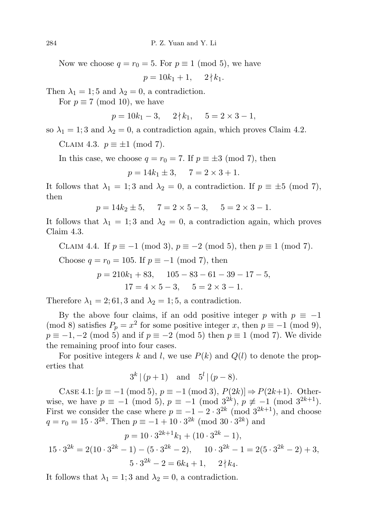Now we choose  $q = r_0 = 5$ . For  $p \equiv 1 \pmod{5}$ , we have

 $p = 10k_1 + 1$ ,  $2 \nmid k_1$ .

Then  $\lambda_1 = 1$ ; 5 and  $\lambda_2 = 0$ , a contradiction.

For  $p \equiv 7 \pmod{10}$ , we have

$$
p = 10k_1 - 3, \quad 2 \nmid k_1, \quad 5 = 2 \times 3 - 1,
$$

so  $\lambda_1 = 1$ ; 3 and  $\lambda_2 = 0$ , a contradiction again, which proves Claim 4.2.

CLAIM 4.3.  $p \equiv \pm 1 \pmod{7}$ .

In this case, we choose  $q = r_0 = 7$ . If  $p \equiv \pm 3 \pmod{7}$ , then

$$
p = 14k_1 \pm 3, \quad 7 = 2 \times 3 + 1.
$$

It follows that  $\lambda_1 = 1$ ; 3 and  $\lambda_2 = 0$ , a contradiction. If  $p \equiv \pm 5 \pmod{7}$ , then

$$
p = 14k_2 \pm 5, \quad 7 = 2 \times 5 - 3, \quad 5 = 2 \times 3 - 1.
$$

It follows that  $\lambda_1 = 1$ ; 3 and  $\lambda_2 = 0$ , a contradiction again, which proves Claim 4.3.

CLAIM 4.4. If 
$$
p \equiv -1 \pmod{3}
$$
,  $p \equiv -2 \pmod{5}$ , then  $p \equiv 1 \pmod{7}$ .

Choose  $q = r_0 = 105$ . If  $p \equiv -1 \pmod{7}$ , then

$$
p = 210k1 + 83, \t105 - 83 - 61 - 39 - 17 - 5,17 = 4 \times 5 - 3, \t5 = 2 \times 3 - 1.
$$

Therefore  $\lambda_1 = 2; 61, 3$  and  $\lambda_2 = 1; 5$ , a contradiction.

By the above four claims, if an odd positive integer p with  $p \equiv -1$ (mod 8) satisfies  $P_p = x^2$  for some positive integer x, then  $p \equiv -1 \pmod{9}$ ,  $p \equiv -1, -2 \pmod{5}$  and if  $p \equiv -2 \pmod{5}$  then  $p \equiv 1 \pmod{7}$ . We divide the remaining proof into four cases.

For positive integers k and l, we use  $P(k)$  and  $Q(l)$  to denote the properties that

$$
3^{k} | (p+1)
$$
 and  $5^{l} | (p-8)$ .

CASE 4.1:  $[p \equiv -1 \pmod{5}, p \equiv -1 \pmod{3}, P(2k) \Rightarrow P(2k+1)$ . Otherwise, we have  $p \equiv -1 \pmod{5}$ ,  $p \equiv -1 \pmod{3^{2k}}$ ,  $p \not\equiv -1 \pmod{3^{2k+1}}$ . First we consider the case where  $p \equiv -1 - 2 \cdot 3^{2k} \pmod{3^{2k+1}}$ , and choose  $q = r_0 = 15 \cdot 3^{2k}$ . Then  $p \equiv -1 + 10 \cdot 3^{2k} \pmod{30 \cdot 3^{2k}}$  and

$$
p = 10 \cdot 3^{2k+1} k_1 + (10 \cdot 3^{2k} - 1),
$$
  
\n
$$
15 \cdot 3^{2k} = 2(10 \cdot 3^{2k} - 1) - (5 \cdot 3^{2k} - 2), \quad 10 \cdot 3^{2k} - 1 = 2(5 \cdot 3^{2k} - 2) + 3,
$$
  
\n
$$
5 \cdot 3^{2k} - 2 = 6k_4 + 1, \quad 2 \nmid k_4.
$$

It follows that  $\lambda_1 = 1$ ; 3 and  $\lambda_2 = 0$ , a contradiction.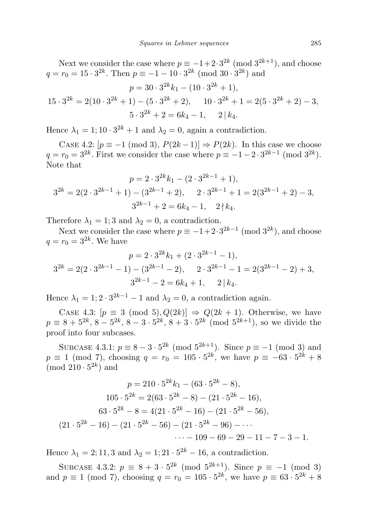Next we consider the case where  $p \equiv -1 + 2 \cdot 3^{2k} \pmod{3^{2k+1}}$ , and choose  $q = r_0 = 15 \cdot 3^{2k}$ . Then  $p \equiv -1 - 10 \cdot 3^{2k} \pmod{30 \cdot 3^{2k}}$  and

$$
p = 30 \cdot 3^{2k} k_1 - (10 \cdot 3^{2k} + 1),
$$
  
\n
$$
15 \cdot 3^{2k} = 2(10 \cdot 3^{2k} + 1) - (5 \cdot 3^{2k} + 2), \quad 10 \cdot 3^{2k} + 1 = 2(5 \cdot 3^{2k} + 2) - 3,
$$
  
\n
$$
5 \cdot 3^{2k} + 2 = 6k_4 - 1, \quad 2 \mid k_4.
$$

Hence  $\lambda_1 = 1; 10 \cdot 3^{2k} + 1$  and  $\lambda_2 = 0$ , again a contradiction.

CASE 4.2:  $[p \equiv -1 \pmod{3}, P(2k-1)] \Rightarrow P(2k)$ . In this case we choose  $q = r_0 = 3^{2k}$ . First we consider the case where  $p \equiv -1 - 2 \cdot 3^{2k-1} \pmod{3^{2k}}$ . Note that

$$
p = 2 \cdot 3^{2k} k_1 - (2 \cdot 3^{2k-1} + 1),
$$
  
\n
$$
3^{2k} = 2(2 \cdot 3^{2k-1} + 1) - (3^{2k-1} + 2), \quad 2 \cdot 3^{2k-1} + 1 = 2(3^{2k-1} + 2) - 3,
$$
  
\n
$$
3^{2k-1} + 2 = 6k_4 - 1, \quad 2 \nmid k_4.
$$

Therefore  $\lambda_1 = 1$ ; 3 and  $\lambda_2 = 0$ , a contradiction.

Next we consider the case where  $p \equiv -1+2 \cdot 3^{2k-1} \pmod{3^{2k}}$ , and choose  $q = r_0 = 3^{2k}$ . We have

$$
p = 2 \cdot 3^{2k} k_1 + (2 \cdot 3^{2k-1} - 1),
$$
  
\n
$$
3^{2k} = 2(2 \cdot 3^{2k-1} - 1) - (3^{2k-1} - 2), \qquad 2 \cdot 3^{2k-1} - 1 = 2(3^{2k-1} - 2) + 3,
$$
  
\n
$$
3^{2k-1} - 2 = 6k_4 + 1, \qquad 2 \mid k_4.
$$

Hence  $\lambda_1 = 1$ ;  $2 \cdot 3^{2k-1} - 1$  and  $\lambda_2 = 0$ , a contradiction again.

CASE 4.3:  $[p \equiv 3 \pmod{5}, Q(2k)] \Rightarrow Q(2k+1)$ . Otherwise, we have  $p \equiv 8 + 5^{2k}, 8 - 5^{2k}, 8 - 3 \cdot 5^{2k}, 8 + 3 \cdot 5^{2k} \pmod{5^{2k+1}}$ , so we divide the proof into four subcases.

SUBCASE 4.3.1:  $p \equiv 8 - 3 \cdot 5^{2k} \pmod{5^{2k+1}}$ . Since  $p \equiv -1 \pmod{3}$  and  $p \equiv 1 \pmod{7}$ , choosing  $q = r_0 = 105 \cdot 5^{2k}$ , we have  $p \equiv -63 \cdot 5^{2k} + 8$  $\pmod{210\cdot 5^{2k}}$  and

$$
p = 210 \cdot 5^{2k} k_1 - (63 \cdot 5^{2k} - 8),
$$
  
\n
$$
105 \cdot 5^{2k} = 2(63 \cdot 5^{2k} - 8) - (21 \cdot 5^{2k} - 16),
$$
  
\n
$$
63 \cdot 5^{2k} - 8 = 4(21 \cdot 5^{2k} - 16) - (21 \cdot 5^{2k} - 56),
$$
  
\n
$$
(21 \cdot 5^{2k} - 16) - (21 \cdot 5^{2k} - 56) - (21 \cdot 5^{2k} - 96) - \cdots
$$
  
\n
$$
\cdots - 109 - 69 - 29 - 11 - 7 - 3 - 1.
$$

Hence  $\lambda_1 = 2; 11, 3$  and  $\lambda_2 = 1; 21 \cdot 5^{2k} - 16$ , a contradiction.

SUBCASE 4.3.2:  $p \equiv 8 + 3 \cdot 5^{2k} \pmod{5^{2k+1}}$ . Since  $p \equiv -1 \pmod{3}$ and  $p \equiv 1 \pmod{7}$ , choosing  $q = r_0 = 105 \cdot 5^{2k}$ , we have  $p \equiv 63 \cdot 5^{2k} + 8$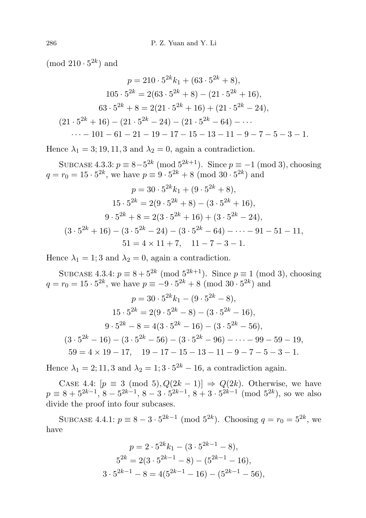(mod  $210 \cdot 5^{2k}$ ) and

$$
p = 210 \cdot 5^{2k} k_1 + (63 \cdot 5^{2k} + 8),
$$
  
\n
$$
105 \cdot 5^{2k} = 2(63 \cdot 5^{2k} + 8) - (21 \cdot 5^{2k} + 16),
$$
  
\n
$$
63 \cdot 5^{2k} + 8 = 2(21 \cdot 5^{2k} + 16) + (21 \cdot 5^{2k} - 24),
$$
  
\n
$$
(21 \cdot 5^{2k} + 16) - (21 \cdot 5^{2k} - 24) - (21 \cdot 5^{2k} - 64) - \cdots
$$
  
\n
$$
\cdots - 101 - 61 - 21 - 19 - 17 - 15 - 13 - 11 - 9 - 7 - 5 - 3 - 1.
$$

Hence  $\lambda_1 = 3$ ; 19, 11, 3 and  $\lambda_2 = 0$ , again a contradiction.

SUBCASE 4.3.3:  $p \equiv 8 - 5^{2k} \pmod{5^{2k+1}}$ . Since  $p \equiv -1 \pmod{3}$ , choosing  $q = r_0 = 15 \cdot 5^{2k}$ , we have  $p \equiv 9 \cdot 5^{2k} + 8 \pmod{30 \cdot 5^{2k}}$  and

$$
p = 30 \cdot 5^{2k} k_1 + (9 \cdot 5^{2k} + 8),
$$
  
\n
$$
15 \cdot 5^{2k} = 2(9 \cdot 5^{2k} + 8) - (3 \cdot 5^{2k} + 16),
$$
  
\n
$$
9 \cdot 5^{2k} + 8 = 2(3 \cdot 5^{2k} + 16) + (3 \cdot 5^{2k} - 24),
$$
  
\n
$$
(3 \cdot 5^{2k} + 16) - (3 \cdot 5^{2k} - 24) - (3 \cdot 5^{2k} - 64) - \dots - 91 - 51 - 11,
$$
  
\n
$$
51 = 4 \times 11 + 7, \quad 11 - 7 - 3 - 1.
$$

Hence  $\lambda_1 = 1$ ; 3 and  $\lambda_2 = 0$ , again a contradiction.

SUBCASE 4.3.4:  $p \equiv 8 + 5^{2k} \pmod{5^{2k+1}}$ . Since  $p \equiv 1 \pmod{3}$ , choosing  $q = r_0 = 15 \cdot 5^{2k}$ , we have  $p \equiv -9 \cdot 5^{2k} + 8 \pmod{30 \cdot 5^{2k}}$  and

$$
p = 30 \cdot 5^{2k} k_1 - (9 \cdot 5^{2k} - 8),
$$
  
\n
$$
15 \cdot 5^{2k} = 2(9 \cdot 5^{2k} - 8) - (3 \cdot 5^{2k} - 16),
$$
  
\n
$$
9 \cdot 5^{2k} - 8 = 4(3 \cdot 5^{2k} - 16) - (3 \cdot 5^{2k} - 56),
$$
  
\n
$$
(3 \cdot 5^{2k} - 16) - (3 \cdot 5^{2k} - 56) - (3 \cdot 5^{2k} - 96) - \dots - 99 - 59 - 19,
$$
  
\n
$$
59 = 4 \times 19 - 17, \quad 19 - 17 - 15 - 13 - 11 - 9 - 7 - 5 - 3 - 1.
$$

Hence  $\lambda_1 = 2, 11, 3$  and  $\lambda_2 = 1, 3 \cdot 5^{2k} - 16$ , a contradiction again.

CASE 4.4:  $[p \equiv 3 \pmod{5}, Q(2k-1)] \Rightarrow Q(2k)$ . Otherwise, we have  $p \equiv 8 + 5^{2k-1}, 8 - 5^{2k-1}, 8 - 3 \cdot 5^{2k-1}, 8 + 3 \cdot 5^{2k-1} \pmod{5^{2k}}$ , so we also divide the proof into four subcases.

SUBCASE 4.4.1:  $p \equiv 8 - 3 \cdot 5^{2k-1} \pmod{5^{2k}}$ . Choosing  $q = r_0 = 5^{2k}$ , we have

$$
p = 2 \cdot 5^{2k} k_1 - (3 \cdot 5^{2k-1} - 8),
$$
  
\n
$$
5^{2k} = 2(3 \cdot 5^{2k-1} - 8) - (5^{2k-1} - 16),
$$
  
\n
$$
3 \cdot 5^{2k-1} - 8 = 4(5^{2k-1} - 16) - (5^{2k-1} - 56),
$$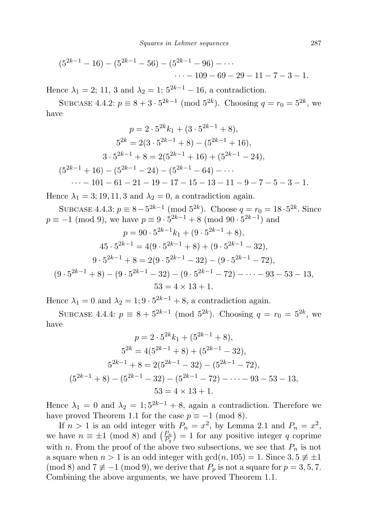$$
(5^{2k-1} - 16) - (5^{2k-1} - 56) - (5^{2k-1} - 96) - \cdots
$$
  
... - 109 - 69 - 29 - 11 - 7 - 3 - 1.

Hence  $\lambda_1 = 2$ ; 11, 3 and  $\lambda_2 = 1$ ;  $5^{2k-1} - 16$ , a contradiction.

SUBCASE 4.4.2:  $p \equiv 8 + 3 \cdot 5^{2k-1} \pmod{5^{2k}}$ . Choosing  $q = r_0 = 5^{2k}$ , we have

$$
p = 2 \cdot 5^{2k} k_1 + (3 \cdot 5^{2k-1} + 8),
$$
  
\n
$$
5^{2k} = 2(3 \cdot 5^{2k-1} + 8) - (5^{2k-1} + 16),
$$
  
\n
$$
3 \cdot 5^{2k-1} + 8 = 2(5^{2k-1} + 16) + (5^{2k-1} - 24),
$$
  
\n
$$
(5^{2k-1} + 16) - (5^{2k-1} - 24) - (5^{2k-1} - 64) - \cdots
$$
  
\n
$$
\cdots - 101 - 61 - 21 - 19 - 17 - 15 - 13 - 11 - 9 - 7 - 5 - 3 - 1.
$$

Hence  $\lambda_1 = 3; 19, 11, 3$  and  $\lambda_2 = 0$ , a contradiction again.

SUBCASE 4.4.3:  $p \equiv 8 - 5^{2k-1} \pmod{5^{2k}}$ . Choose  $q = r_0 = 18 \cdot 5^{2k}$ . Since  $p \equiv -1 \pmod{9}$ , we have  $p \equiv 9 \cdot 5^{2k-1} + 8 \pmod{90 \cdot 5^{2k-1}}$  and

$$
p = 90 \cdot 5^{2k-1}k_1 + (9 \cdot 5^{2k-1} + 8),
$$
  
\n
$$
45 \cdot 5^{2k-1} = 4(9 \cdot 5^{2k-1} + 8) + (9 \cdot 5^{2k-1} - 32),
$$
  
\n
$$
9 \cdot 5^{2k-1} + 8 = 2(9 \cdot 5^{2k-1} - 32) - (9 \cdot 5^{2k-1} - 72),
$$
  
\n
$$
(9 \cdot 5^{2k-1} + 8) - (9 \cdot 5^{2k-1} - 32) - (9 \cdot 5^{2k-1} - 72) - \dots - 93 - 53 - 13,
$$
  
\n
$$
53 = 4 \times 13 + 1.
$$

Hence  $\lambda_1 = 0$  and  $\lambda_2 = 1$ ;  $9 \cdot 5^{2k-1} + 8$ , a contradiction again.

SUBCASE 4.4.4:  $p \equiv 8 + 5^{2k-1} \pmod{5^{2k}}$ . Choosing  $q = r_0 = 5^{2k}$ , we have

$$
p = 2 \cdot 5^{2k} k_1 + (5^{2k-1} + 8),
$$
  
\n
$$
5^{2k} = 4(5^{2k-1} + 8) + (5^{2k-1} - 32),
$$
  
\n
$$
5^{2k-1} + 8 = 2(5^{2k-1} - 32) - (5^{2k-1} - 72),
$$
  
\n
$$
(5^{2k-1} + 8) - (5^{2k-1} - 32) - (5^{2k-1} - 72) - \dots - 93 - 53 - 13,
$$
  
\n
$$
53 = 4 \times 13 + 1.
$$

Hence  $\lambda_1 = 0$  and  $\lambda_2 = 1$ ;  $5^{2k-1} + 8$ , again a contradiction. Therefore we have proved Theorem 1.1 for the case  $p \equiv -1 \pmod{8}$ .

If  $n > 1$  is an odd integer with  $P_n = x^2$ , by Lemma 2.1 and  $P_n = x^2$ , we have  $n \equiv \pm 1 \pmod{8}$  and  $\left(\frac{P_n}{P_n}\right)$  $\frac{P_n}{P_q}$  = 1 for any positive integer q coprime with n. From the proof of the above two subsections, we see that  $P_n$  is not a square when  $n > 1$  is an odd integer with  $gcd(n, 105) = 1$ . Since  $3, 5 \neq \pm 1$ (mod 8) and  $7 \not\equiv -1 \pmod{9}$ , we derive that  $P_p$  is not a square for  $p = 3, 5, 7$ . Combining the above arguments, we have proved Theorem 1.1.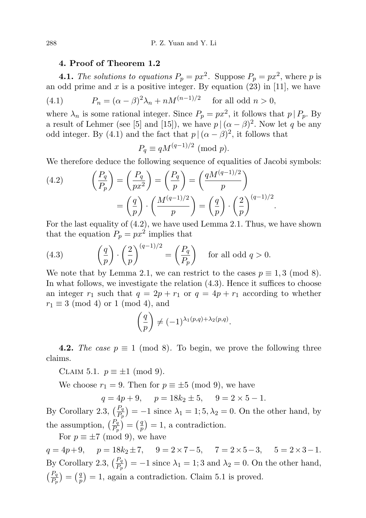## 4. Proof of Theorem 1.2

**4.1.** The solutions to equations  $P_p = px^2$ . Suppose  $P_p = px^2$ , where p is an odd prime and  $x$  is a positive integer. By equation (23) in [11], we have

(4.1) 
$$
P_n = (\alpha - \beta)^2 \lambda_n + nM^{(n-1)/2} \text{ for all odd } n > 0,
$$

where  $\lambda_n$  is some rational integer. Since  $P_p = px^2$ , it follows that  $p \mid P_p$ . By a result of Lehmer (see [5] and [15]), we have  $p | (\alpha - \beta)^2$ . Now let q be any odd integer. By (4.1) and the fact that  $p | (\alpha - \beta)^2$ , it follows that

$$
P_q \equiv qM^{(q-1)/2} \pmod{p}.
$$

We therefore deduce the following sequence of equalities of Jacobi symbols:

(4.2) 
$$
\left(\frac{P_q}{P_p}\right) = \left(\frac{P_q}{px^2}\right) = \left(\frac{P_q}{p}\right) = \left(\frac{qM^{(q-1)/2}}{p}\right)
$$

$$
= \left(\frac{q}{p}\right) \cdot \left(\frac{M^{(q-1)/2}}{p}\right) = \left(\frac{q}{p}\right) \cdot \left(\frac{2}{p}\right)^{(q-1)/2}
$$

For the last equality of (4.2), we have used Lemma 2.1. Thus, we have shown that the equation  $P_p = px^2$  implies that

.

(4.3) 
$$
\left(\frac{q}{p}\right) \cdot \left(\frac{2}{p}\right)^{(q-1)/2} = \left(\frac{P_q}{P_p}\right) \text{ for all odd } q > 0.
$$

We note that by Lemma 2.1, we can restrict to the cases  $p \equiv 1, 3 \pmod{8}$ . In what follows, we investigate the relation (4.3). Hence it suffices to choose an integer  $r_1$  such that  $q = 2p + r_1$  or  $q = 4p + r_1$  according to whether  $r_1 \equiv 3 \pmod{4}$  or 1 (mod 4), and

$$
\left(\frac{q}{p}\right) \neq (-1)^{\lambda_1(p,q)+\lambda_2(p,q)}.
$$

**4.2.** The case  $p \equiv 1 \pmod{8}$ . To begin, we prove the following three claims.

CLAIM 5.1.  $p \equiv \pm 1 \pmod{9}$ .

We choose  $r_1 = 9$ . Then for  $p \equiv \pm 5 \pmod{9}$ , we have

 $q = 4p + 9, \quad p = 18k_2 \pm 5, \quad 9 = 2 \times 5 - 1.$ 

By Corollary 2.3,  $\left(\frac{P_q}{P_p}\right) = -1$  since  $\lambda_1 = 1; 5, \lambda_2 = 0$ . On the other hand, by the assumption,  $\left(\frac{P_q}{P_p}\right) = \left(\frac{q}{p}\right)$  $\binom{q}{p} = 1$ , a contradiction.

For  $p \equiv \pm 7 \pmod{9}$ , we have

 $q = 4p + 9$ ,  $p = 18k_2 \pm 7$ ,  $9 = 2 \times 7 - 5$ ,  $7 = 2 \times 5 - 3$ ,  $5 = 2 \times 3 - 1$ . By Corollary 2.3,  $\left(\frac{P_q}{P_P}\right) = -1$  since  $\lambda_1 = 1$ ; 3 and  $\lambda_2 = 0$ . On the other hand,  $\left(\frac{P_q}{P_p}\right) = \left(\frac{q}{p}\right)$  $\binom{q}{p} = 1$ , again a contradiction. Claim 5.1 is proved.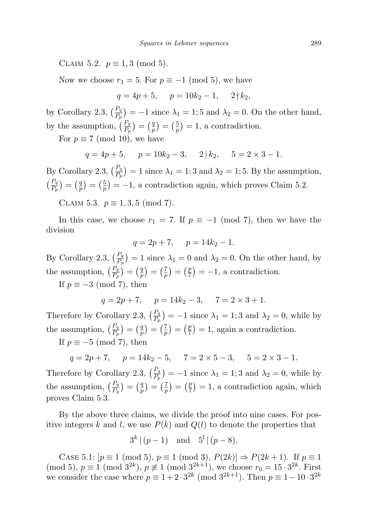CLAIM 5.2.  $p \equiv 1, 3 \pmod{5}$ .

Now we choose  $r_1 = 5$ . For  $p \equiv -1 \pmod{5}$ , we have

$$
q = 4p + 5, \quad p = 10k_2 - 1, \quad 2 \nmid k_2,
$$

by Corollary 2.3,  $\left(\frac{P_q}{P_p}\right) = -1$  since  $\lambda_1 = 1$ ; 5 and  $\lambda_2 = 0$ . On the other hand, by the assumption,  $\left(\frac{P_q}{P_p}\right) = \left(\frac{q}{p}\right)$  $\left(\frac{q}{p}\right)=\left(\frac{5}{p}\right)$  $(\frac{5}{p}) = 1$ , a contradiction.

For  $p \equiv 7 \pmod{10}$ , we have

$$
q = 4p + 5
$$
,  $p = 10k_2 - 3$ ,  $2 | k_2$ ,  $5 = 2 \times 3 - 1$ .

By Corollary 2.3,  $\left(\frac{P_q}{P_p}\right) = 1$  since  $\lambda_1 = 1$ ; 3 and  $\lambda_2 = 1$ ; 5. By the assumption,  $\left(\frac{P_q}{P_p}\right) = \left(\frac{q}{p}\right)$  $\left(\frac{q}{p}\right) = \left(\frac{5}{p}\right)$  $\frac{5}{p}$  = -1, a contradiction again, which proves Claim 5.2.

CLAIM 5.3.  $p \equiv 1, 3, 5 \pmod{7}$ .

In this case, we choose  $r_1 = 7$ . If  $p \equiv -1 \pmod{7}$ , then we have the division

$$
q = 2p + 7, \quad p = 14k_2 - 1.
$$

By Corollary 2.3,  $\left(\frac{P_q}{P_p}\right) = 1$  since  $\lambda_1 = 0$  and  $\lambda_2 = 0$ . On the other hand, by the assumption,  $\left(\frac{P_q}{P_p}\right) = \left(\frac{q}{p}\right)$  $\left(\frac{q}{p}\right) = \left(\frac{7}{p}\right)$  $\left(\frac{7}{p}\right) = \left(\frac{p}{7}\right)$  $(\frac{p}{7}) = -1$ , a contradiction.

If  $p \equiv -3 \pmod{7}$ , then

$$
q = 2p + 7
$$
,  $p = 14k_2 - 3$ ,  $7 = 2 \times 3 + 1$ .

Therefore by Corollary 2.3,  $\left(\frac{P_q}{P_p}\right) = -1$  since  $\lambda_1 = 1; 3$  and  $\lambda_2 = 0$ , while by the assumption,  $\left(\frac{P_q}{P_p}\right) = \left(\frac{q}{p}\right)$  $\left(\frac{q}{p}\right) = \left(\frac{7}{p}\right)$  $\left(\frac{7}{p}\right) = \left(\frac{p}{7}\right)$  $(\frac{p}{7}) = 1$ , again a contradiction.

If  $p \equiv -5 \pmod{7}$ , then

$$
q = 2p + 7
$$
,  $p = 14k_2 - 5$ ,  $7 = 2 \times 5 - 3$ ,  $5 = 2 \times 3 - 1$ .

Therefore by Corollary 2.3,  $\left(\frac{P_q}{P_p}\right) = -1$  since  $\lambda_1 = 1; 3$  and  $\lambda_2 = 0$ , while by the assumption,  $\left(\frac{P_q}{P_p}\right) = \left(\frac{q}{p}\right)$  $\left(\frac{q}{p}\right) = \left(\frac{7}{p}\right)$  $\left(\frac{7}{p}\right) = \left(\frac{p}{7}\right)$  $(\frac{p}{7}) = 1$ , a contradiction again, which proves Claim 5.3.

By the above three claims, we divide the proof into nine cases. For positive integers k and l, we use  $P(k)$  and  $Q(l)$  to denote the properties that

$$
3^{k} | (p-1)
$$
 and  $5^{l} | (p-8)$ .

CASE 5.1:  $[p \equiv 1 \pmod{5}, p \equiv 1 \pmod{3}, P(2k) \Rightarrow P(2k+1)$ . If  $p \equiv 1$ (mod 5),  $p \equiv 1 \pmod{3^{2k}}$ ,  $p \not\equiv 1 \pmod{3^{2k+1}}$ , we choose  $r_0 = 15 \cdot 3^{2k}$ . First we consider the case where  $p \equiv 1 + 2 \cdot 3^{2k} \pmod{3^{2k+1}}$ . Then  $p \equiv 1 - 10 \cdot 3^{2k}$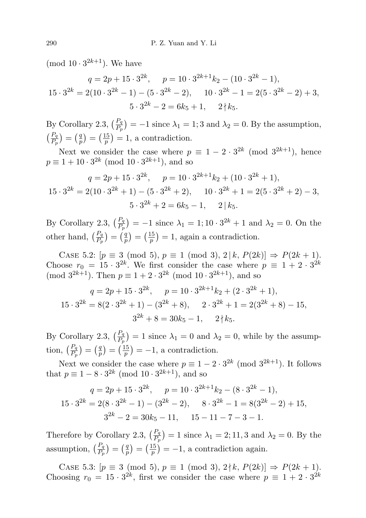(mod  $10 \cdot 3^{2k+1}$ ). We have

$$
q = 2p + 15 \cdot 3^{2k}, \quad p = 10 \cdot 3^{2k+1} k_2 - (10 \cdot 3^{2k} - 1),
$$
  

$$
15 \cdot 3^{2k} = 2(10 \cdot 3^{2k} - 1) - (5 \cdot 3^{2k} - 2), \quad 10 \cdot 3^{2k} - 1 = 2(5 \cdot 3^{2k} - 2) + 3,
$$
  

$$
5 \cdot 3^{2k} - 2 = 6k_5 + 1, \quad 2 \nmid k_5.
$$

By Corollary 2.3,  $\left(\frac{P_q}{P_p}\right) = -1$  since  $\lambda_1 = 1$ ; 3 and  $\lambda_2 = 0$ . By the assumption,  $\left(\frac{P_q}{P_p}\right) = \left(\frac{q}{p}\right)$  $\left(\frac{q}{p}\right)=\left(\frac{15}{p}\right)$  $\binom{15}{p}$  = 1, a contradiction.

Next we consider the case where  $p \equiv 1 - 2 \cdot 3^{2k} \pmod{3^{2k+1}}$ , hence  $p \equiv 1 + 10 \cdot 3^{2k} \pmod{10 \cdot 3^{2k+1}}$ , and so

$$
q = 2p + 15 \cdot 3^{2k}, \quad p = 10 \cdot 3^{2k+1}k_2 + (10 \cdot 3^{2k} + 1),
$$
  

$$
15 \cdot 3^{2k} = 2(10 \cdot 3^{2k} + 1) - (5 \cdot 3^{2k} + 2), \quad 10 \cdot 3^{2k} + 1 = 2(5 \cdot 3^{2k} + 2) - 3,
$$
  

$$
5 \cdot 3^{2k} + 2 = 6k_5 - 1, \quad 2 \mid k_5.
$$

By Corollary 2.3,  $\left(\frac{P_q}{P_p}\right) = -1$  since  $\lambda_1 = 1; 10 \cdot 3^{2k} + 1$  and  $\lambda_2 = 0$ . On the other hand,  $\left(\frac{P_q}{P_p}\right) = \left(\frac{q}{p}\right)$  $\left(\frac{q}{p}\right)=\left(\frac{15}{p}\right)$  $\binom{15}{p}$  = 1, again a contradiction.

CASE 5.2:  $[p \equiv 3 \pmod{5}, p \equiv 1 \pmod{3}, 2 | k, P(2k) \Rightarrow P(2k+1)$ . Choose  $r_0 = 15 \cdot 3^{2k}$ . We first consider the case where  $p \equiv 1 + 2 \cdot 3^{2k}$ (mod  $3^{2k+1}$ ). Then  $p \equiv 1 + 2 \cdot 3^{2k}$  (mod  $10 \cdot 3^{2k+1}$ ), and so

$$
q = 2p + 15 \cdot 3^{2k}, \quad p = 10 \cdot 3^{2k+1}k_2 + (2 \cdot 3^{2k} + 1),
$$
  

$$
15 \cdot 3^{2k} = 8(2 \cdot 3^{2k} + 1) - (3^{2k} + 8), \quad 2 \cdot 3^{2k} + 1 = 2(3^{2k} + 8) - 15,
$$
  

$$
3^{2k} + 8 = 30k_5 - 1, \quad 2 \nmid k_5.
$$

By Corollary 2.3,  $\left(\frac{P_q}{P_p}\right) = 1$  since  $\lambda_1 = 0$  and  $\lambda_2 = 0$ , while by the assumption,  $\left(\frac{P_q}{P_p}\right) = \left(\frac{q}{p}\right)$  $\left(\frac{q}{p}\right)=\left(\frac{15}{p}\right)$  $\frac{15}{p}$  = -1, a contradiction.

Next we consider the case where  $p \equiv 1 - 2 \cdot 3^{2k} \pmod{3^{2k+1}}$ . It follows that  $p \equiv 1 - 8 \cdot 3^{2k} \pmod{10 \cdot 3^{2k+1}}$ , and so

$$
q = 2p + 15 \cdot 3^{2k}, \quad p = 10 \cdot 3^{2k+1} k_2 - (8 \cdot 3^{2k} - 1),
$$
  
\n
$$
15 \cdot 3^{2k} = 2(8 \cdot 3^{2k} - 1) - (3^{2k} - 2), \quad 8 \cdot 3^{2k} - 1 = 8(3^{2k} - 2) + 15,
$$
  
\n
$$
3^{2k} - 2 = 30k_5 - 11, \quad 15 - 11 - 7 - 3 - 1.
$$

Therefore by Corollary 2.3,  $\left(\frac{P_q}{P_p}\right) = 1$  since  $\lambda_1 = 2; 11, 3$  and  $\lambda_2 = 0$ . By the assumption,  $\left(\frac{P_q}{P_p}\right) = \left(\frac{q}{p}\right)$  $\binom{q}{p} = \left(\frac{15}{p}\right)$  $\left(\frac{15}{p}\right) = -1$ , a contradiction again.

CASE 5.3:  $[p \equiv 3 \pmod{5}, p \equiv 1 \pmod{3}, 2 \nmid k, P(2k) \Rightarrow P(2k+1)$ . Choosing  $r_0 = 15 \cdot 3^{2k}$ , first we consider the case where  $p \equiv 1 + 2 \cdot 3^{2k}$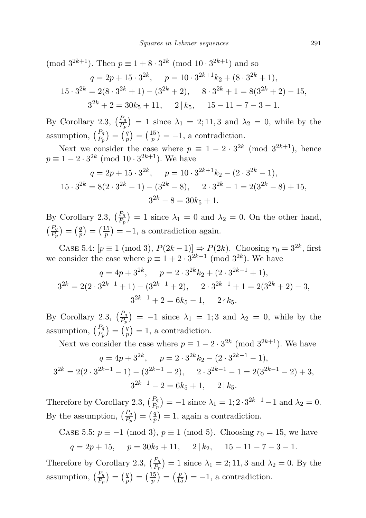(mod  $3^{2k+1}$ ). Then  $p \equiv 1 + 8 \cdot 3^{2k} \pmod{10 \cdot 3^{2k+1}}$  and so  $q = 2p + 15 \cdot 3^{2k}, \quad p = 10 \cdot 3^{2k+1} k_2 + (8 \cdot 3^{2k} + 1),$  $15 \cdot 3^{2k} = 2(8 \cdot 3^{2k} + 1) - (3^{2k} + 2), \quad 8 \cdot 3^{2k} + 1 = 8(3^{2k} + 2) - 15,$  $3^{2k} + 2 = 30k_5 + 11$ ,  $2|k_5$ ,  $15 - 11 - 7 - 3 - 1$ .

By Corollary 2.3,  $\left(\frac{P_q}{P_p}\right) = 1$  since  $\lambda_1 = 2; 11, 3$  and  $\lambda_2 = 0$ , while by the assumption,  $\left(\frac{P_q}{P_p}\right) = \left(\frac{q}{p}\right)$  $\left(\frac{q}{p}\right)=\left(\frac{15}{p}\right)$  $\binom{15}{p}$  = -1, a contradiction.

Next we consider the case where  $p \equiv 1 - 2 \cdot 3^{2k} \pmod{3^{2k+1}}$ , hence  $p \equiv 1 - 2 \cdot 3^{2k} \pmod{10 \cdot 3^{2k+1}}$ . We have

$$
q = 2p + 15 \cdot 3^{2k}, \quad p = 10 \cdot 3^{2k+1}k_2 - (2 \cdot 3^{2k} - 1),
$$
  

$$
15 \cdot 3^{2k} = 8(2 \cdot 3^{2k} - 1) - (3^{2k} - 8), \quad 2 \cdot 3^{2k} - 1 = 2(3^{2k} - 8) + 15,
$$
  

$$
3^{2k} - 8 = 30k_5 + 1.
$$

By Corollary 2.3,  $\left(\frac{P_q}{P_p}\right) = 1$  since  $\lambda_1 = 0$  and  $\lambda_2 = 0$ . On the other hand,  $\left(\frac{P_q}{P_p}\right) = \left(\frac{q}{p}\right)$  $\left(\frac{q}{p}\right)=\left(\frac{15}{p}\right)$  $\left(\frac{15}{p}\right) = -1$ , a contradiction again.

CASE 5.4:  $[p \equiv 1 \pmod{3}, P(2k-1)] \Rightarrow P(2k)$ . Choosing  $r_0 = 3^{2k}$ , first we consider the case where  $p \equiv 1 + 2 \cdot 3^{2k-1} \pmod{3^{2k}}$ . We have

$$
q = 4p + 3^{2k}, \quad p = 2 \cdot 3^{2k} k_2 + (2 \cdot 3^{2k-1} + 1),
$$
  
\n
$$
3^{2k} = 2(2 \cdot 3^{2k-1} + 1) - (3^{2k-1} + 2), \quad 2 \cdot 3^{2k-1} + 1 = 2(3^{2k} + 2) - 3,
$$
  
\n
$$
3^{2k-1} + 2 = 6k_5 - 1, \quad 2 \nmid k_5.
$$

By Corollary 2.3,  $\left(\frac{P_q}{P_p}\right) = -1$  since  $\lambda_1 = 1; 3$  and  $\lambda_2 = 0$ , while by the assumption,  $\left(\frac{P_q}{P_p}\right) = \left(\frac{q}{p}\right)$  $\binom{q}{p} = 1$ , a contradiction.

Next we consider the case where  $p \equiv 1 - 2 \cdot 3^{2k} \pmod{3^{2k+1}}$ . We have  $q = 4p + 3^{2k}, \quad p = 2 \cdot 3^{2k} k_2 - (2 \cdot 3^{2k-1} - 1),$ 

$$
3^{2k} = 2(2 \cdot 3^{2k-1} - 1) - (3^{2k-1} - 2), \quad 2 \cdot 3^{2k-1} - 1 = 2(3^{2k-1} - 2) + 3,
$$
  

$$
3^{2k-1} - 2 = 6k_5 + 1, \quad 2 \mid k_5.
$$

Therefore by Corollary 2.3,  $\left(\frac{P_q}{P_p}\right) = -1$  since  $\lambda_1 = 1$ ;  $2 \cdot 3^{2k-1} - 1$  and  $\lambda_2 = 0$ . By the assumption,  $\left(\frac{P_q}{P_p}\right) = \left(\frac{q}{p}\right)$  $\binom{q}{p} = 1$ , again a contradiction.

CASE 5.5:  $p \equiv -1 \pmod{3}$ ,  $p \equiv 1 \pmod{5}$ . Choosing  $r_0 = 15$ , we have  $q = 2p + 15$ ,  $p = 30k_2 + 11$ ,  $2 | k_2$ ,  $15 - 11 - 7 - 3 - 1$ .

Therefore by Corollary 2.3,  $\left(\frac{P_q}{P_p}\right) = 1$  since  $\lambda_1 = 2; 11, 3$  and  $\lambda_2 = 0$ . By the assumption,  $\left(\frac{P_q}{P_p}\right) = \left(\frac{q}{p}\right)$  $\left(\frac{q}{p}\right)=\left(\frac{15}{p}\right)$  $\left(\frac{15}{p}\right) = \left(\frac{p}{15}\right) = -1$ , a contradiction.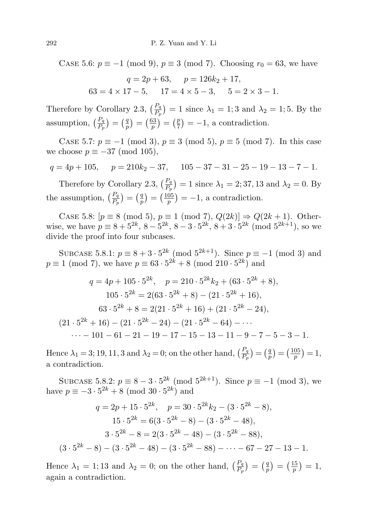CASE 5.6:  $p \equiv -1 \pmod{9}$ ,  $p \equiv 3 \pmod{7}$ . Choosing  $r_0 = 63$ , we have

$$
q = 2p + 63, \quad p = 126k_2 + 17,
$$
  

$$
63 = 4 \times 17 - 5, \quad 17 = 4 \times 5 - 3, \quad 5 = 2 \times 3 - 1.
$$

Therefore by Corollary 2.3,  $\left(\frac{P_q}{P_p}\right) = 1$  since  $\lambda_1 = 1; 3$  and  $\lambda_2 = 1; 5$ . By the assumption,  $\left(\frac{P_q}{P_p}\right) = \left(\frac{q}{p}\right)$  $\left(\frac{q}{p}\right)=\left(\frac{63}{p}\right)$  $\left(\frac{p}{p}\right) = \left(\frac{p}{7}\right)$  $(\frac{p}{7}) = -1$ , a contradiction.

CASE 5.7:  $p \equiv -1 \pmod{3}$ ,  $p \equiv 3 \pmod{5}$ ,  $p \equiv 5 \pmod{7}$ . In this case we choose  $p \equiv -37 \pmod{105}$ ,

$$
q = 4p + 105, \quad p = 210k_2 - 37, \quad 105 - 37 - 31 - 25 - 19 - 13 - 7 - 1.
$$

Therefore by Corollary 2.3,  $\left(\frac{P_q}{P_p}\right) = 1$  since  $\lambda_1 = 2; 37, 13$  and  $\lambda_2 = 0$ . By the assumption,  $\left(\frac{P_q}{P_p}\right) = \left(\frac{q}{p}\right)$  $\left(\frac{q}{p}\right)=\left(\frac{105}{p}\right)$  $\binom{05}{p}$  = -1, a contradiction.

CASE 5.8:  $[p \equiv 8 \pmod{5}, p \equiv 1 \pmod{7}, Q(2k) \Rightarrow Q(2k+1)$ . Otherwise, we have  $p \equiv 8 + 5^{2k}, 8 - 5^{2k}, 8 - 3 \cdot 5^{2k}, 8 + 3 \cdot 5^{2k} \pmod{5^{2k+1}}$ , so we divide the proof into four subcases.

SUBCASE 5.8.1:  $p \equiv 8 + 3 \cdot 5^{2k} \pmod{5^{2k+1}}$ . Since  $p \equiv -1 \pmod{3}$  and  $p \equiv 1 \pmod{7}$ , we have  $p \equiv 63 \cdot 5^{2k} + 8 \pmod{210 \cdot 5^{2k}}$  and

$$
q = 4p + 105 \cdot 5^{2k}, \quad p = 210 \cdot 5^{2k} k_2 + (63 \cdot 5^{2k} + 8),
$$
  
\n
$$
105 \cdot 5^{2k} = 2(63 \cdot 5^{2k} + 8) - (21 \cdot 5^{2k} + 16),
$$
  
\n
$$
63 \cdot 5^{2k} + 8 = 2(21 \cdot 5^{2k} + 16) + (21 \cdot 5^{2k} - 24),
$$
  
\n
$$
(21 \cdot 5^{2k} + 16) - (21 \cdot 5^{2k} - 24) - (21 \cdot 5^{2k} - 64) - \cdots
$$
  
\n
$$
\cdots - 101 - 61 - 21 - 19 - 17 - 15 - 13 - 11 - 9 - 7 - 5 - 3 - 1.
$$

Hence  $\lambda_1 = 3$ ; 19, 11, 3 and  $\lambda_2 = 0$ ; on the other hand,  $\left(\frac{P_q}{P_p}\right) = \left(\frac{q}{p}\right)$  $\left(\frac{q}{p}\right) = \left(\frac{105}{p}\right)$  $\frac{05}{p}$ ) = 1, a contradiction.

SUBCASE 5.8.2:  $p \equiv 8 - 3 \cdot 5^{2k} \pmod{5^{2k+1}}$ . Since  $p \equiv -1 \pmod{3}$ , we have  $p \equiv -3 \cdot 5^{2k} + 8 \pmod{30 \cdot 5^{2k}}$  and

$$
q = 2p + 15 \cdot 5^{2k}, \quad p = 30 \cdot 5^{2k} k_2 - (3 \cdot 5^{2k} - 8),
$$
  
\n
$$
15 \cdot 5^{2k} = 6(3 \cdot 5^{2k} - 8) - (3 \cdot 5^{2k} - 48),
$$
  
\n
$$
3 \cdot 5^{2k} - 8 = 2(3 \cdot 5^{2k} - 48) - (3 \cdot 5^{2k} - 88),
$$
  
\n
$$
(3 \cdot 5^{2k} - 8) - (3 \cdot 5^{2k} - 48) - (3 \cdot 5^{2k} - 88) - \dots - 67 - 27 - 13 - 1.
$$

Hence  $\lambda_1 = 1$ ; 13 and  $\lambda_2 = 0$ ; on the other hand,  $\left(\frac{P_q}{P_p}\right) = \left(\frac{q}{p}\right)$  $\left(\frac{q}{p}\right) = \left(\frac{15}{p}\right)$  $\frac{15}{p}$   $\big) = 1,$ again a contradiction.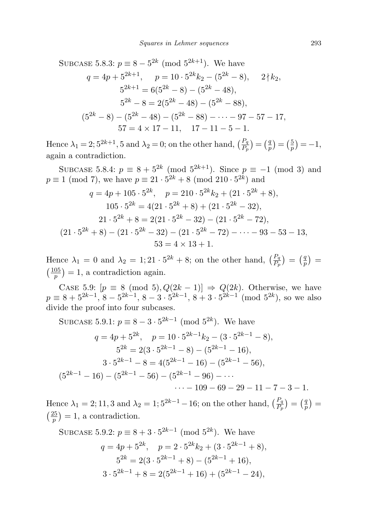SUBCASE 5.8.3: 
$$
p \equiv 8 - 5^{2k} \pmod{5^{2k+1}}
$$
. We have  
\n $q = 4p + 5^{2k+1}, \quad p = 10 \cdot 5^{2k}k_2 - (5^{2k} - 8), \quad 2 \nmid k_2,$   
\n $5^{2k+1} = 6(5^{2k} - 8) - (5^{2k} - 48),$   
\n $5^{2k} - 8 = 2(5^{2k} - 48) - (5^{2k} - 88),$   
\n $(5^{2k} - 8) - (5^{2k} - 48) - (5^{2k} - 88) - \cdots - 97 - 57 - 17,$   
\n $57 = 4 \times 17 - 11, \quad 17 - 11 - 5 - 1.$ 

Hence  $\lambda_1 = 2; 5^{2k+1}, 5$  and  $\lambda_2 = 0$ ; on the other hand,  $\left(\frac{P_q}{P_p}\right) = \left(\frac{q}{p}\right)$  $\left(\frac{q}{p}\right) = \left(\frac{5}{p}\right)$  $(\frac{5}{p}) = -1,$ again a contradiction.

SUBCASE 5.8.4:  $p \equiv 8 + 5^{2k} \pmod{5^{2k+1}}$ . Since  $p \equiv -1 \pmod{3}$  and  $p \equiv 1 \pmod{7}$ , we have  $p \equiv 21 \cdot 5^{2k} + 8 \pmod{210 \cdot 5^{2k}}$  and

$$
q = 4p + 105 \cdot 5^{2k}, \quad p = 210 \cdot 5^{2k} k_2 + (21 \cdot 5^{2k} + 8),
$$
  
\n
$$
105 \cdot 5^{2k} = 4(21 \cdot 5^{2k} + 8) + (21 \cdot 5^{2k} - 32),
$$
  
\n
$$
21 \cdot 5^{2k} + 8 = 2(21 \cdot 5^{2k} - 32) - (21 \cdot 5^{2k} - 72),
$$
  
\n
$$
(21 \cdot 5^{2k} + 8) - (21 \cdot 5^{2k} - 32) - (21 \cdot 5^{2k} - 72) - \dots - 93 - 53 - 13,
$$
  
\n
$$
53 = 4 \times 13 + 1.
$$

Hence  $\lambda_1 = 0$  and  $\lambda_2 = 1; 21 \cdot 5^{2k} + 8$ ; on the other hand,  $\left(\frac{P_q}{P_p}\right) = \left(\frac{q}{p}\right)$  $\frac{q}{p}$ ) =  $\left(\frac{105}{n}\right)$  $\binom{05}{p}$  = 1, a contradiction again.

CASE 5.9:  $[p \equiv 8 \pmod{5}, Q(2k-1)] \Rightarrow Q(2k)$ . Otherwise, we have  $p \equiv 8 + 5^{2k-1}, 8 - 5^{2k-1}, 8 - 3 \cdot 5^{2k-1}, 8 + 3 \cdot 5^{2k-1} \pmod{5^{2k}}$ , so we also divide the proof into four subcases.

SUBCASE 5.9.1: 
$$
p \equiv 8 - 3 \cdot 5^{2k-1} \pmod{5^{2k}}
$$
. We have  
\n $q = 4p + 5^{2k}$ ,  $p = 10 \cdot 5^{2k-1}k_2 - (3 \cdot 5^{2k-1} - 8)$ ,  
\n $5^{2k} = 2(3 \cdot 5^{2k-1} - 8) - (5^{2k-1} - 16)$ ,  
\n $3 \cdot 5^{2k-1} - 8 = 4(5^{2k-1} - 16) - (5^{2k-1} - 56)$ ,  
\n $(5^{2k-1} - 16) - (5^{2k-1} - 56) - (5^{2k-1} - 96) - \cdots$   
\n $\cdots - 109 - 69 - 29 - 11 - 7 - 3 - 1$ .

Hence  $\lambda_1 = 2, 11, 3$  and  $\lambda_2 = 1, 5^{2k-1} - 16$ ; on the other hand,  $\left(\frac{P_q}{P_p}\right) = \left(\frac{q}{p}\right)$  $\frac{q}{p}) =$  $\left(\frac{25}{n}\right)$  $\binom{25}{p}$  = 1, a contradiction.

SUBCASE 5.9.2: 
$$
p \equiv 8 + 3 \cdot 5^{2k-1} \pmod{5^{2k}}
$$
. We have  
\n $q = 4p + 5^{2k}, \quad p = 2 \cdot 5^{2k}k_2 + (3 \cdot 5^{2k-1} + 8),$   
\n $5^{2k} = 2(3 \cdot 5^{2k-1} + 8) - (5^{2k-1} + 16),$   
\n $3 \cdot 5^{2k-1} + 8 = 2(5^{2k-1} + 16) + (5^{2k-1} - 24),$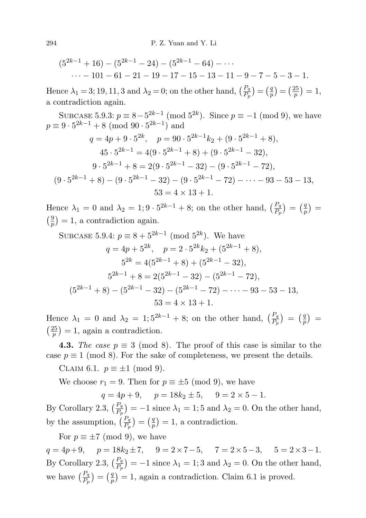$$
(5^{2k-1}+16) - (5^{2k-1}-24) - (5^{2k-1}-64) - \cdots
$$
  
... - 101 - 61 - 21 - 19 - 17 - 15 - 13 - 11 - 9 - 7 - 5 - 3 - 1.

Hence  $\lambda_1 = 3; 19, 11, 3$  and  $\lambda_2 = 0$ ; on the other hand,  $\left(\frac{P_q}{P_p}\right) = \left(\frac{q}{p}\right)$  $\left(\frac{q}{p}\right)=\left(\frac{25}{p}\right)$  $\frac{25}{p}$ ) = 1, a contradiction again.

SUBCASE 5.9.3:  $p \equiv 8 - 5^{2k-1} \pmod{5^{2k}}$ . Since  $p \equiv -1 \pmod{9}$ , we have  $p \equiv 9 \cdot 5^{2k-1} + 8 \pmod{90 \cdot 5^{2k-1}}$  and

$$
q = 4p + 9 \cdot 5^{2k}, \quad p = 90 \cdot 5^{2k-1}k_2 + (9 \cdot 5^{2k-1} + 8),
$$
  
\n
$$
45 \cdot 5^{2k-1} = 4(9 \cdot 5^{2k-1} + 8) + (9 \cdot 5^{2k-1} - 32),
$$
  
\n
$$
9 \cdot 5^{2k-1} + 8 = 2(9 \cdot 5^{2k-1} - 32) - (9 \cdot 5^{2k-1} - 72),
$$
  
\n
$$
(9 \cdot 5^{2k-1} + 8) - (9 \cdot 5^{2k-1} - 32) - (9 \cdot 5^{2k-1} - 72) - \dots - 93 - 53 - 13,
$$
  
\n
$$
53 = 4 \times 13 + 1.
$$

Hence  $\lambda_1 = 0$  and  $\lambda_2 = 1, 9 \cdot 5^{2k-1} + 8$ ; on the other hand,  $\left(\frac{P_q}{P_p}\right) = \left(\frac{q}{p}\right)$  $\binom{q}{p}$  =  $\frac{9}{2}$  $\left(\frac{9}{p}\right) = 1$ , a contradiction again.

SUBCASE 5.9.4: 
$$
p \equiv 8 + 5^{2k-1} \pmod{5^{2k}}
$$
. We have  
\n $q = 4p + 5^{2k}, \quad p = 2 \cdot 5^{2k}k_2 + (5^{2k-1} + 8),$   
\n $5^{2k} = 4(5^{2k-1} + 8) + (5^{2k-1} - 32),$   
\n $5^{2k-1} + 8 = 2(5^{2k-1} - 32) - (5^{2k-1} - 72),$   
\n $(5^{2k-1} + 8) - (5^{2k-1} - 32) - (5^{2k-1} - 72) - \cdots - 93 - 53 - 13,$   
\n $53 = 4 \times 13 + 1.$ 

Hence  $\lambda_1 = 0$  and  $\lambda_2 = 1; 5^{2k-1} + 8$ ; on the other hand,  $\left(\frac{P_q}{P_p}\right) = \left(\frac{q}{p}\right)$  $\binom{q}{p}$  =  $\left(\frac{25}{2}\right)$  $\binom{25}{p}$  = 1, again a contradiction.

**4.3.** The case  $p \equiv 3 \pmod{8}$ . The proof of this case is similar to the case  $p \equiv 1 \pmod{8}$ . For the sake of completeness, we present the details.

CLAIM 6.1.  $p \equiv \pm 1 \pmod{9}$ .

We choose  $r_1 = 9$ . Then for  $p \equiv \pm 5 \pmod{9}$ , we have

 $q = 4p + 9$ ,  $p = 18k_2 \pm 5$ ,  $9 = 2 \times 5 - 1$ .

By Corollary 2.3,  $\left(\frac{P_q}{P_p}\right) = -1$  since  $\lambda_1 = 1$ ; 5 and  $\lambda_2 = 0$ . On the other hand, by the assumption,  $\left(\frac{P_q}{P_p}\right) = \left(\frac{q}{p}\right)$  $\binom{q}{p} = 1$ , a contradiction.

For  $p \equiv \pm 7 \pmod{9}$ , we have  $q = 4p + 9$ ,  $p = 18k_2 \pm 7$ ,  $9 = 2 \times 7 - 5$ ,  $7 = 2 \times 5 - 3$ ,  $5 = 2 \times 3 - 1$ . By Corollary 2.3,  $\left(\frac{P_q}{P_P}\right) = -1$  since  $\lambda_1 = 1$ ; 3 and  $\lambda_2 = 0$ . On the other hand, we have  $\left(\frac{P_q}{P_p}\right) = \left(\frac{q}{p}\right)$  $\binom{q}{p} = 1$ , again a contradiction. Claim 6.1 is proved.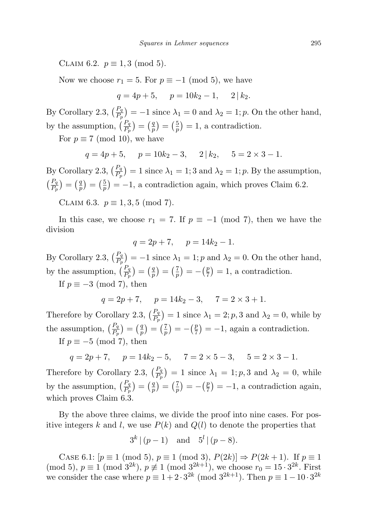CLAIM 6.2.  $p \equiv 1, 3 \pmod{5}$ .

Now we choose  $r_1 = 5$ . For  $p \equiv -1 \pmod{5}$ , we have

$$
q = 4p + 5, \quad p = 10k_2 - 1, \quad 2 | k_2.
$$

By Corollary 2.3,  $\left(\frac{P_q}{P_p}\right) = -1$  since  $\lambda_1 = 0$  and  $\lambda_2 = 1$ ; p. On the other hand, by the assumption,  $\left(\frac{P_q}{P_p}\right) = \left(\frac{q}{p}\right)$  $\left(\frac{q}{p}\right) = \left(\frac{5}{p}\right)$  $\left(\frac{5}{p}\right) = 1$ , a contradiction.

For  $p \equiv 7 \pmod{10}$ , we have

$$
q = 4p + 5
$$
,  $p = 10k_2 - 3$ ,  $2 | k_2$ ,  $5 = 2 \times 3 - 1$ .

By Corollary 2.3,  $\left(\frac{P_q}{P_p}\right) = 1$  since  $\lambda_1 = 1$ ; 3 and  $\lambda_2 = 1$ ; p. By the assumption,  $\left(\frac{P_q}{P_p}\right) = \left(\frac{q}{p}\right)$  $\left(\frac{q}{p}\right) = \left(\frac{5}{p}\right)$  $\binom{5}{p}$  = -1, a contradiction again, which proves Claim 6.2.

CLAIM 6.3.  $p \equiv 1, 3, 5 \pmod{7}$ .

In this case, we choose  $r_1 = 7$ . If  $p \equiv -1 \pmod{7}$ , then we have the division

$$
q = 2p + 7, \quad p = 14k_2 - 1.
$$

By Corollary 2.3,  $\left(\frac{P_q}{P_p}\right) = -1$  since  $\lambda_1 = 1$ ; p and  $\lambda_2 = 0$ . On the other hand, by the assumption,  $\left(\frac{P_q}{P_p}\right) = \left(\frac{q}{p}\right)$  $\binom{q}{p} = \left(\frac{7}{p}\right)$  $\left(\frac{7}{p}\right) = -\left(\frac{p}{7}\right)$  $(\frac{p}{7}) = 1$ , a contradiction.

If  $p \equiv -3 \pmod{7}$ , then

$$
q = 2p + 7
$$
,  $p = 14k_2 - 3$ ,  $7 = 2 \times 3 + 1$ .

Therefore by Corollary 2.3,  $\left(\frac{P_q}{P_p}\right) = 1$  since  $\lambda_1 = 2$ ; p, 3 and  $\lambda_2 = 0$ , while by the assumption,  $\left(\frac{P_q}{P_p}\right) = \left(\frac{q}{p}\right)$  $\left(\frac{q}{p}\right) = \left(\frac{7}{p}\right)$  $\left(\frac{7}{p}\right) = -\left(\frac{p}{7}\right)$  $(\frac{p}{7}) = -1$ , again a contradiction. If  $p \equiv -5 \pmod{7}$ , then

$$
q = 2p + 7
$$
,  $p = 14k_2 - 5$ ,  $7 = 2 \times 5 - 3$ ,  $5 = 2 \times 3 - 1$ .

Therefore by Corollary 2.3,  $\left(\frac{P_q}{P_p}\right) = 1$  since  $\lambda_1 = 1$ ; p, 3 and  $\lambda_2 = 0$ , while by the assumption,  $\left(\frac{P_q}{P_p}\right) = \left(\frac{q}{p}\right)$  $\left(\frac{q}{p}\right) = \left(\frac{7}{p}\right)$  $\left(\frac{7}{p}\right) = -\left(\frac{p}{7}\right)$  $(\frac{p}{7}) = -1$ , a contradiction again, which proves Claim 6.3.

By the above three claims, we divide the proof into nine cases. For positive integers k and l, we use  $P(k)$  and  $Q(l)$  to denote the properties that

$$
3^{k} | (p-1)
$$
 and  $5^{l} | (p-8)$ .

CASE 6.1:  $[p \equiv 1 \pmod{5}, p \equiv 1 \pmod{3}, P(2k) \Rightarrow P(2k+1)$ . If  $p \equiv 1$ (mod 5),  $p \equiv 1 \pmod{3^{2k}}$ ,  $p \not\equiv 1 \pmod{3^{2k+1}}$ , we choose  $r_0 = 15 \cdot 3^{2k}$ . First we consider the case where  $p \equiv 1 + 2 \cdot 3^{2k} \pmod{3^{2k+1}}$ . Then  $p \equiv 1 - 10 \cdot 3^{2k}$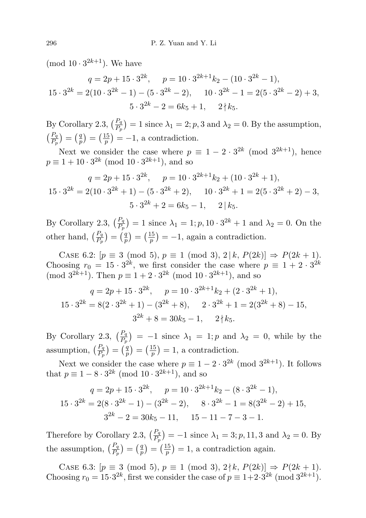(mod  $10 \cdot 3^{2k+1}$ ). We have

$$
q = 2p + 15 \cdot 3^{2k}, \quad p = 10 \cdot 3^{2k+1} k_2 - (10 \cdot 3^{2k} - 1),
$$
  

$$
15 \cdot 3^{2k} = 2(10 \cdot 3^{2k} - 1) - (5 \cdot 3^{2k} - 2), \quad 10 \cdot 3^{2k} - 1 = 2(5 \cdot 3^{2k} - 2) + 3,
$$
  

$$
5 \cdot 3^{2k} - 2 = 6k_5 + 1, \quad 2 \nmid k_5.
$$

By Corollary 2.3,  $\left(\frac{P_q}{P_p}\right) = 1$  since  $\lambda_1 = 2$ ; p, 3 and  $\lambda_2 = 0$ . By the assumption,  $\left(\frac{P_q}{P_p}\right) = \left(\frac{q}{p}\right)$  $\left(\frac{q}{p}\right)=\left(\frac{15}{p}\right)$  $\binom{15}{p}$  = -1, a contradiction.

Next we consider the case where  $p \equiv 1 - 2 \cdot 3^{2k} \pmod{3^{2k+1}}$ , hence  $p \equiv 1 + 10 \cdot 3^{2k} \pmod{10 \cdot 3^{2k+1}}$ , and so

$$
q = 2p + 15 \cdot 3^{2k}, \quad p = 10 \cdot 3^{2k+1}k_2 + (10 \cdot 3^{2k} + 1),
$$
  

$$
15 \cdot 3^{2k} = 2(10 \cdot 3^{2k} + 1) - (5 \cdot 3^{2k} + 2), \quad 10 \cdot 3^{2k} + 1 = 2(5 \cdot 3^{2k} + 2) - 3,
$$
  

$$
5 \cdot 3^{2k} + 2 = 6k_5 - 1, \quad 2 \mid k_5.
$$

By Corollary 2.3,  $\left(\frac{P_q}{P_p}\right) = 1$  since  $\lambda_1 = 1$ ;  $p$ ,  $10 \cdot 3^{2k} + 1$  and  $\lambda_2 = 0$ . On the other hand,  $\left(\frac{P_q}{P_p}\right) = \left(\frac{q}{p}\right)$  $\left(\frac{q}{p}\right)=\left(\frac{15}{p}\right)$  $\binom{15}{p}$  = -1, again a contradiction.

CASE 6.2:  $[p \equiv 3 \pmod{5}, p \equiv 1 \pmod{3}, 2 | k, P(2k) \Rightarrow P(2k+1)$ . Choosing  $r_0 = 15 \cdot 3^{2k}$ , we first consider the case where  $p \equiv 1 + 2 \cdot 3^{2k}$ (mod  $3^{2k+1}$ ). Then  $p \equiv 1 + 2 \cdot 3^{2k}$  (mod  $10 \cdot 3^{2k+1}$ ), and so

$$
q = 2p + 15 \cdot 3^{2k}, \quad p = 10 \cdot 3^{2k+1}k_2 + (2 \cdot 3^{2k} + 1),
$$
  

$$
15 \cdot 3^{2k} = 8(2 \cdot 3^{2k} + 1) - (3^{2k} + 8), \quad 2 \cdot 3^{2k} + 1 = 2(3^{2k} + 8) - 15,
$$
  

$$
3^{2k} + 8 = 30k_5 - 1, \quad 2 \nmid k_5.
$$

By Corollary 2.3,  $\left(\frac{P_q}{P_p}\right) = -1$  since  $\lambda_1 = 1$ ; p and  $\lambda_2 = 0$ , while by the assumption,  $\left(\frac{P_q}{P_p}\right) = \left(\frac{q}{p}\right)$  $\left(\frac{q}{p}\right)=\left(\frac{15}{p}\right)$  $(\frac{15}{p}) = 1$ , a contradiction.

Next we consider the case where  $p \equiv 1 - 2 \cdot 3^{2k} \pmod{3^{2k+1}}$ . It follows that  $p \equiv 1 - 8 \cdot 3^{2k} \pmod{10 \cdot 3^{2k+1}}$ , and so

$$
q = 2p + 15 \cdot 3^{2k}, \quad p = 10 \cdot 3^{2k+1} k_2 - (8 \cdot 3^{2k} - 1),
$$
  

$$
15 \cdot 3^{2k} = 2(8 \cdot 3^{2k} - 1) - (3^{2k} - 2), \quad 8 \cdot 3^{2k} - 1 = 8(3^{2k} - 2) + 15,
$$
  

$$
3^{2k} - 2 = 30k_5 - 11, \quad 15 - 11 - 7 - 3 - 1.
$$

Therefore by Corollary 2.3,  $\left(\frac{P_q}{P_p}\right) = -1$  since  $\lambda_1 = 3; p, 11, 3$  and  $\lambda_2 = 0$ . By the assumption,  $\left(\frac{P_q}{P_p}\right) = \left(\frac{q}{p}\right)$  $\left(\frac{q}{p}\right) = \left(\frac{15}{p}\right)$  $\left(\frac{15}{p}\right) = 1$ , a contradiction again.

CASE 6.3:  $[p \equiv 3 \pmod{5}, p \equiv 1 \pmod{3}, 2 \nmid k, P(2k) \Rightarrow P(2k+1)$ . Choosing  $r_0 = 15 \cdot 3^{2k}$ , first we consider the case of  $p \equiv 1+2 \cdot 3^{2k}$  (mod  $3^{2k+1}$ ).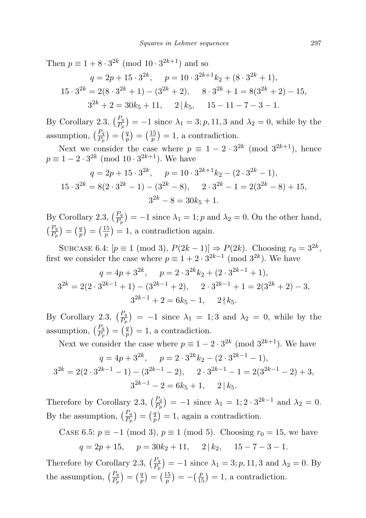Then  $p \equiv 1 + 8 \cdot 3^{2k} \pmod{10 \cdot 3^{2k+1}}$  and so

$$
q = 2p + 15 \cdot 3^{2k}, \quad p = 10 \cdot 3^{2k+1}k_2 + (8 \cdot 3^{2k} + 1),
$$
  
\n
$$
15 \cdot 3^{2k} = 2(8 \cdot 3^{2k} + 1) - (3^{2k} + 2), \quad 8 \cdot 3^{2k} + 1 = 8(3^{2k} + 2) - 15,
$$
  
\n
$$
3^{2k} + 2 = 30k_5 + 11, \quad 2 \mid k_5, \quad 15 - 11 - 7 - 3 - 1.
$$

By Corollary 2.3,  $\left(\frac{P_q}{P_p}\right) = -1$  since  $\lambda_1 = 3; p, 11, 3$  and  $\lambda_2 = 0$ , while by the assumption,  $\left(\frac{P_q}{P_p}\right) = \left(\frac{q}{p}\right)$  $\left(\frac{q}{p}\right)=\left(\frac{15}{p}\right)$  $\binom{15}{p}$  = 1, a contradiction.

Next we consider the case where  $p \equiv 1 - 2 \cdot 3^{2k} \pmod{3^{2k+1}}$ , hence  $p \equiv 1 - 2 \cdot 3^{2k} \pmod{10 \cdot 3^{2k+1}}$ . We have

$$
q = 2p + 15 \cdot 3^{2k}, \quad p = 10 \cdot 3^{2k+1}k_2 - (2 \cdot 3^{2k} - 1),
$$
  

$$
15 \cdot 3^{2k} = 8(2 \cdot 3^{2k} - 1) - (3^{2k} - 8), \quad 2 \cdot 3^{2k} - 1 = 2(3^{2k} - 8) + 15,
$$
  

$$
3^{2k} - 8 = 30k_5 + 1.
$$

By Corollary 2.3,  $\left(\frac{P_q}{P_p}\right) = -1$  since  $\lambda_1 = 1$ ; p and  $\lambda_2 = 0$ . On the other hand,  $\left(\frac{P_q}{P_p}\right) = \left(\frac{q}{p}\right)$  $\left(\frac{q}{p}\right)=\left(\frac{15}{p}\right)$  $\left(\frac{15}{p}\right) = 1$ , a contradiction again.

SUBCASE 6.4:  $[p \equiv 1 \pmod{3}, P(2k-1)] \Rightarrow P(2k)$ . Choosing  $r_0 = 3^{2k}$ , first we consider the case where  $p \equiv 1 + 2 \cdot 3^{2k-1} \pmod{3^{2k}}$ . We have

$$
q = 4p + 3^{2k}, \quad p = 2 \cdot 3^{2k} k_2 + (2 \cdot 3^{2k-1} + 1),
$$
  
\n
$$
3^{2k} = 2(2 \cdot 3^{2k-1} + 1) - (3^{2k-1} + 2), \quad 2 \cdot 3^{2k-1} + 1 = 2(3^{2k} + 2) - 3,
$$
  
\n
$$
3^{2k-1} + 2 = 6k_5 - 1, \quad 2 \nmid k_5.
$$

By Corollary 2.3,  $\left(\frac{P_q}{P_p}\right) = -1$  since  $\lambda_1 = 1; 3$  and  $\lambda_2 = 0$ , while by the assumption,  $\left(\frac{P_q}{P_p}\right) = \left(\frac{q}{p}\right)$  $\binom{q}{p} = 1$ , a contradiction.

Next we consider the case where  $p \equiv 1 - 2 \cdot 3^{2k} \pmod{3^{2k+1}}$ . We have  $q = 4p + 3^{2k}, \quad p = 2 \cdot 3^{2k} k_2 - (2 \cdot 3^{2k-1} - 1),$  $3^{2k} = 2(2 \cdot 3^{2k-1} - 1) - (3^{2k-1} - 2), \quad 2 \cdot 3^{2k-1} - 1 = 2(3^{2k-1} - 2) + 3,$ 

Therefore by Corollary 2.3,  $\left(\frac{P_q}{P_p}\right) = -1$  since  $\lambda_1 = 1; 2 \cdot 3^{2k-1}$  and  $\lambda_2 = 0$ . By the assumption,  $\left(\frac{P_q}{P_p}\right) = \left(\frac{q}{p}\right)$  $\binom{q}{p} = 1$ , again a contradiction.

 $3^{2k-1} - 2 = 6k_5 + 1$ , 2 |  $k_5$ .

CASE 6.5: 
$$
p \equiv -1 \pmod{3}
$$
,  $p \equiv 1 \pmod{5}$ . Choosing  $r_0 = 15$ , we have  
\n $q = 2p + 15$ ,  $p = 30k_2 + 11$ ,  $2 | k_2$ ,  $15 - 7 - 3 - 1$ .

Therefore by Corollary 2.3,  $\left(\frac{P_q}{P_p}\right) = -1$  since  $\lambda_1 = 3; p, 11, 3$  and  $\lambda_2 = 0$ . By the assumption,  $\left(\frac{P_q}{P_p}\right) = \left(\frac{q}{p}\right)$  $\left(\frac{q}{p}\right) = \left(\frac{15}{p}\right)$  $\left(\frac{15}{p}\right) = -\left(\frac{p}{15}\right) = 1$ , a contradiction.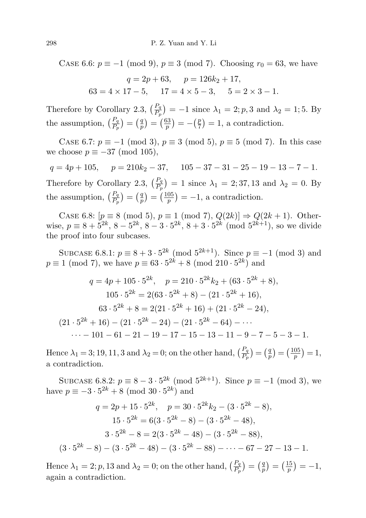CASE 6.6:  $p \equiv -1 \pmod{9}$ ,  $p \equiv 3 \pmod{7}$ . Choosing  $r_0 = 63$ , we have

$$
q = 2p + 63, \quad p = 126k_2 + 17,
$$
  

$$
63 = 4 \times 17 - 5, \quad 17 = 4 \times 5 - 3, \quad 5 = 2 \times 3 - 1.
$$

Therefore by Corollary 2.3,  $\left(\frac{P_q}{P_p}\right) = -1$  since  $\lambda_1 = 2$ ; p, 3 and  $\lambda_2 = 1$ ; 5. By the assumption,  $\left(\frac{P_q}{P_p}\right) = \left(\frac{q}{p}\right)$  $\binom{q}{p} = \left(\frac{63}{p}\right)$  $(\frac{p}{p}) = -(\frac{p}{7})$  $(\frac{p}{7}) = 1$ , a contradiction.

CASE 6.7:  $p \equiv -1 \pmod{3}$ ,  $p \equiv 3 \pmod{5}$ ,  $p \equiv 5 \pmod{7}$ . In this case we choose  $p \equiv -37 \pmod{105}$ ,

 $q = 4p + 105$ ,  $p = 210k_2 - 37$ ,  $105 - 37 - 31 - 25 - 19 - 13 - 7 - 1$ . Therefore by Corollary 2.3,  $\left(\frac{P_q}{P_p}\right) = 1$  since  $\lambda_1 = 2, 37, 13$  and  $\lambda_2 = 0$ . By the assumption,  $\left(\frac{P_q}{P_p}\right) = \left(\frac{q}{p}\right)$  $\left(\frac{q}{p}\right)=\left(\frac{105}{p}\right)$  $\binom{05}{p}$  = -1, a contradiction.

CASE 6.8:  $[p \equiv 8 \pmod{5}, p \equiv 1 \pmod{7}, Q(2k) \Rightarrow Q(2k+1)$ . Otherwise,  $p \equiv 8 + 5^{2k}, 8 - 5^{2k}, 8 - 3 \cdot 5^{2k}, 8 + 3 \cdot 5^{2k} \pmod{5^{2k+1}}$ , so we divide the proof into four subcases.

SUBCASE 6.8.1:  $p \equiv 8 + 3 \cdot 5^{2k} \pmod{5^{2k+1}}$ . Since  $p \equiv -1 \pmod{3}$  and  $p \equiv 1 \pmod{7}$ , we have  $p \equiv 63 \cdot 5^{2k} + 8 \pmod{210 \cdot 5^{2k}}$  and

$$
q = 4p + 105 \cdot 5^{2k}, \quad p = 210 \cdot 5^{2k} k_2 + (63 \cdot 5^{2k} + 8),
$$
  
\n
$$
105 \cdot 5^{2k} = 2(63 \cdot 5^{2k} + 8) - (21 \cdot 5^{2k} + 16),
$$
  
\n
$$
63 \cdot 5^{2k} + 8 = 2(21 \cdot 5^{2k} + 16) + (21 \cdot 5^{2k} - 24),
$$
  
\n
$$
(21 \cdot 5^{2k} + 16) - (21 \cdot 5^{2k} - 24) - (21 \cdot 5^{2k} - 64) - \cdots
$$
  
\n
$$
\cdots - 101 - 61 - 21 - 19 - 17 - 15 - 13 - 11 - 9 - 7 - 5 - 3 - 1.
$$

Hence  $\lambda_1 = 3$ ; 19, 11, 3 and  $\lambda_2 = 0$ ; on the other hand,  $\left(\frac{P_q}{P_p}\right) = \left(\frac{q}{p}\right)$  $\left(\frac{q}{p}\right) = \left(\frac{105}{p}\right)$  $\frac{05}{p}$  $) = 1,$ a contradiction.

SUBCASE 6.8.2:  $p \equiv 8 - 3 \cdot 5^{2k} \pmod{5^{2k+1}}$ . Since  $p \equiv -1 \pmod{3}$ , we have  $p \equiv -3 \cdot 5^{2k} + 8 \pmod{30 \cdot 5^{2k}}$  and

$$
q = 2p + 15 \cdot 5^{2k}, \quad p = 30 \cdot 5^{2k} k_2 - (3 \cdot 5^{2k} - 8),
$$
  
\n
$$
15 \cdot 5^{2k} = 6(3 \cdot 5^{2k} - 8) - (3 \cdot 5^{2k} - 48),
$$
  
\n
$$
3 \cdot 5^{2k} - 8 = 2(3 \cdot 5^{2k} - 48) - (3 \cdot 5^{2k} - 88),
$$
  
\n
$$
(3 \cdot 5^{2k} - 8) - (3 \cdot 5^{2k} - 48) - (3 \cdot 5^{2k} - 88) - \dots - 67 - 27 - 13 - 1.
$$

Hence  $\lambda_1 = 2$ ; p, 13 and  $\lambda_2 = 0$ ; on the other hand,  $\left(\frac{P_q}{P_p}\right) = \left(\frac{q}{p}\right)$  $\left(\frac{q}{p}\right) = \left(\frac{15}{p}\right)$  $\frac{15}{p}$ ) = -1, again a contradiction.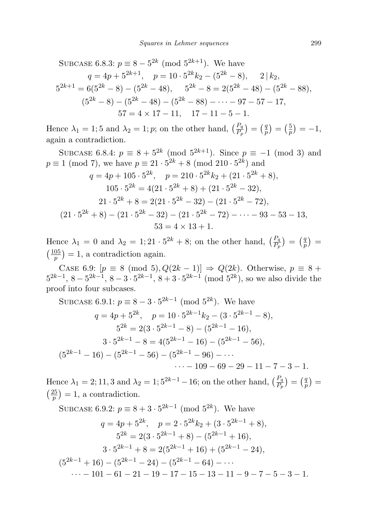SUBCASE 6.8.3: 
$$
p \equiv 8 - 5^{2k} \pmod{5^{2k+1}}
$$
. We have  
\n $q = 4p + 5^{2k+1}, \quad p = 10 \cdot 5^{2k} k_2 - (5^{2k} - 8), \quad 2 \mid k_2,$   
\n $5^{2k+1} = 6(5^{2k} - 8) - (5^{2k} - 48), \quad 5^{2k} - 8 = 2(5^{2k} - 48) - (5^{2k} - 88),$   
\n $(5^{2k} - 8) - (5^{2k} - 48) - (5^{2k} - 88) - \cdots - 97 - 57 - 17,$   
\n $57 = 4 \times 17 - 11, \quad 17 - 11 - 5 - 1.$ 

Hence  $\lambda_1 = 1; 5$  and  $\lambda_2 = 1; p$ ; on the other hand,  $\left(\frac{P_q}{P_p}\right) = \left(\frac{q}{p}\right)$  $\left(\frac{q}{p}\right) = \left(\frac{5}{p}\right)$  $(\frac{5}{p}) = -1,$ again a contradiction.

SUBCASE 6.8.4:  $p \equiv 8 + 5^{2k} \pmod{5^{2k+1}}$ . Since  $p \equiv -1 \pmod{3}$  and  $p \equiv 1 \pmod{7}$ , we have  $p \equiv 21 \cdot 5^{2k} + 8 \pmod{210 \cdot 5^{2k}}$  and

$$
q = 4p + 105 \cdot 5^{2k}, \quad p = 210 \cdot 5^{2k} k_2 + (21 \cdot 5^{2k} + 8),
$$
  
\n
$$
105 \cdot 5^{2k} = 4(21 \cdot 5^{2k} + 8) + (21 \cdot 5^{2k} - 32),
$$
  
\n
$$
21 \cdot 5^{2k} + 8 = 2(21 \cdot 5^{2k} - 32) - (21 \cdot 5^{2k} - 72),
$$
  
\n
$$
(21 \cdot 5^{2k} + 8) - (21 \cdot 5^{2k} - 32) - (21 \cdot 5^{2k} - 72) - \dots - 93 - 53 - 13,
$$
  
\n
$$
53 = 4 \times 13 + 1.
$$

Hence  $\lambda_1 = 0$  and  $\lambda_2 = 1; 21 \cdot 5^{2k} + 8$ ; on the other hand,  $\left(\frac{P_q}{P_p}\right) = \left(\frac{q}{p}\right)$  $\binom{q}{p} =$  $\left(\frac{105}{n}\right)$  $\binom{05}{p}$  = 1, a contradiction again.

CASE 6.9:  $[p \equiv 8 \pmod{5}, Q(2k-1)] \Rightarrow Q(2k)$ . Otherwise,  $p \equiv 8 +$  $5^{2k-1}$ ,  $8-5^{2k-1}$ ,  $8-3\cdot5^{2k-1}$ ,  $8+3\cdot5^{2k-1}$  (mod  $5^{2k}$ ), so we also divide the proof into four subcases.

SUBCASE 6.9.1: 
$$
p \equiv 8 - 3 \cdot 5^{2k-1} \pmod{5^{2k}}
$$
. We have  
\n $q = 4p + 5^{2k}$ ,  $p = 10 \cdot 5^{2k-1}k_2 - (3 \cdot 5^{2k-1} - 8)$ ,  
\n $5^{2k} = 2(3 \cdot 5^{2k-1} - 8) - (5^{2k-1} - 16)$ ,  
\n $3 \cdot 5^{2k-1} - 8 = 4(5^{2k-1} - 16) - (5^{2k-1} - 56)$ ,  
\n $(5^{2k-1} - 16) - (5^{2k-1} - 56) - (5^{2k-1} - 96) - \cdots$   
\n $\cdots - 109 - 69 - 29 - 11 - 7 - 3 - 1$ .

Hence  $\lambda_1 = 2, 11, 3$  and  $\lambda_2 = 1, 5^{2k-1} - 16$ ; on the other hand,  $\left(\frac{P_q}{P_p}\right) = \left(\frac{q}{p}\right)$  $\binom{q}{p} =$  $\left(\frac{25}{2}\right)$  $\binom{25}{p}$  = 1, a contradiction.

SUBCASE 6.9.2: 
$$
p \equiv 8 + 3 \cdot 5^{2k-1} \pmod{5^{2k}}
$$
. We have  
\n $q = 4p + 5^{2k}$ ,  $p = 2 \cdot 5^{2k}k_2 + (3 \cdot 5^{2k-1} + 8)$ ,  
\n $5^{2k} = 2(3 \cdot 5^{2k-1} + 8) - (5^{2k-1} + 16)$ ,  
\n $3 \cdot 5^{2k-1} + 8 = 2(5^{2k-1} + 16) + (5^{2k-1} - 24)$ ,  
\n $(5^{2k-1} + 16) - (5^{2k-1} - 24) - (5^{2k-1} - 64) - \cdots$   
\n $\cdots - 101 - 61 - 21 - 19 - 17 - 15 - 13 - 11 - 9 - 7 - 5 - 3 - 1$ .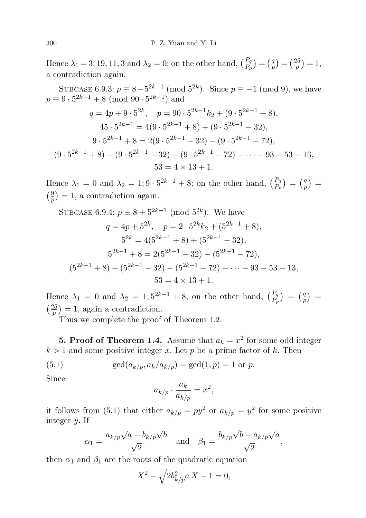Hence  $\lambda_1 = 3; 19, 11, 3$  and  $\lambda_2 = 0$ ; on the other hand,  $\left(\frac{P_q}{P_p}\right) = \left(\frac{q}{p}\right)$  $\left(\frac{q}{p}\right) = \left(\frac{25}{p}\right)$  $\frac{25}{p}$ ) = 1, a contradiction again.

SUBCASE 6.9.3:  $p \equiv 8 - 5^{2k-1} \pmod{5^{2k}}$ . Since  $p \equiv -1 \pmod{9}$ , we have  $p \equiv 9 \cdot 5^{2k-1} + 8 \pmod{90 \cdot 5^{2k-1}}$  and

$$
q = 4p + 9 \cdot 5^{2k}, \quad p = 90 \cdot 5^{2k-1}k_2 + (9 \cdot 5^{2k-1} + 8),
$$
  
\n
$$
45 \cdot 5^{2k-1} = 4(9 \cdot 5^{2k-1} + 8) + (9 \cdot 5^{2k-1} - 32),
$$
  
\n
$$
9 \cdot 5^{2k-1} + 8 = 2(9 \cdot 5^{2k-1} - 32) - (9 \cdot 5^{2k-1} - 72),
$$
  
\n
$$
(9 \cdot 5^{2k-1} + 8) - (9 \cdot 5^{2k-1} - 32) - (9 \cdot 5^{2k-1} - 72) - \dots - 93 - 53 - 13,
$$
  
\n
$$
53 = 4 \times 13 + 1.
$$

Hence  $\lambda_1 = 0$  and  $\lambda_2 = 1, 9 \cdot 5^{2k-1} + 8$ ; on the other hand,  $\left(\frac{P_q}{P_p}\right) = \left(\frac{q}{p}\right)$  $\binom{q}{p}$  =  $\frac{9}{2}$  $\left(\frac{9}{p}\right) = 1$ , a contradiction again.

SUBCASE 6.9.4: 
$$
p \equiv 8 + 5^{2k-1} \pmod{5^{2k}}
$$
. We have  
\n $q = 4p + 5^{2k}, \quad p = 2 \cdot 5^{2k}k_2 + (5^{2k-1} + 8),$   
\n $5^{2k} = 4(5^{2k-1} + 8) + (5^{2k-1} - 32),$   
\n $5^{2k-1} + 8 = 2(5^{2k-1} - 32) - (5^{2k-1} - 72),$   
\n $(5^{2k-1} + 8) - (5^{2k-1} - 32) - (5^{2k-1} - 72) - \cdots - 93 - 53 - 13,$   
\n $53 = 4 \times 13 + 1.$ 

Hence  $\lambda_1 = 0$  and  $\lambda_2 = 1; 5^{2k-1} + 8$ ; on the other hand,  $\left(\frac{P_q}{P_p}\right) = \left(\frac{q}{p}\right)$  $\binom{q}{p} =$  $\left(\frac{25}{2}\right)$  $\binom{25}{p}$  = 1, again a contradiction.

Thus we complete the proof of Theorem 1.2.

**5. Proof of Theorem 1.4.** Assume that  $a_k = x^2$  for some odd integer  $k > 1$  and some positive integer x. Let p be a prime factor of k. Then

(5.1) 
$$
\gcd(a_{k/p}, a_k/a_{k/p}) = \gcd(1, p) = 1 \text{ or } p.
$$

Since

$$
a_{k/p} \cdot \frac{a_k}{a_{k/p}} = x^2,
$$

it follows from (5.1) that either  $a_{k/p} = py^2$  or  $a_{k/p} = y^2$  for some positive integer y. If

$$
\alpha_1 = \frac{a_{k/p}\sqrt{a} + b_{k/p}\sqrt{b}}{\sqrt{2}}
$$
 and  $\beta_1 = \frac{b_{k/p}\sqrt{b} - a_{k/p}\sqrt{a}}{\sqrt{2}}$ ,

then  $\alpha_1$  and  $\beta_1$  are the roots of the quadratic equation

$$
X^2 - \sqrt{2b_{k/p}^2 a} X - 1 = 0,
$$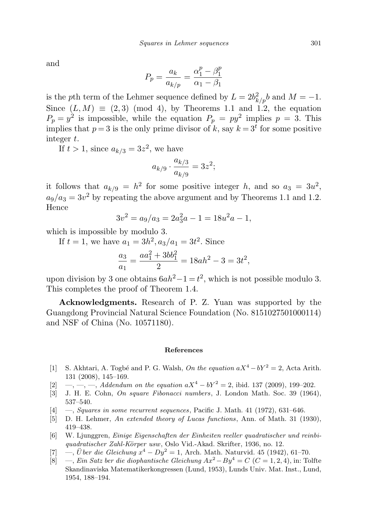and

$$
P_p = \frac{a_k}{a_{k/p}} = \frac{\alpha_1^p - \beta_1^p}{\alpha_1 - \beta_1}
$$

is the pth term of the Lehmer sequence defined by  $L = 2b_{k/p}^2 b$  and  $M = -1$ . Since  $(L, M) \equiv (2, 3) \pmod{4}$ , by Theorems 1.1 and 1.2, the equation  $P_p = y^2$  is impossible, while the equation  $P_p = py^2$  implies  $p = 3$ . This implies that  $p=3$  is the only prime divisor of k, say  $k=3<sup>t</sup>$  for some positive integer t.

If  $t > 1$ , since  $a_{k/3} = 3z^2$ , we have

$$
a_{k/9} \cdot \frac{a_{k/3}}{a_{k/9}} = 3z^2;
$$

it follows that  $a_{k/9} = h^2$  for some positive integer h, and so  $a_3 = 3u^2$ ,  $a_9/a_3 = 3v^2$  by repeating the above argument and by Theorems 1.1 and 1.2. Hence

$$
3v^2 = a_9/a_3 = 2a_3^2a - 1 = 18u^2a - 1,
$$

which is impossible by modulo 3.

If  $t = 1$ , we have  $a_1 = 3h^2$ ,  $a_3/a_1 = 3t^2$ . Since  $a_3$  $\frac{a_3}{a_1} = \frac{aa_1^2 + 3bb_1^2}{2}$  $\frac{1}{2} + \frac{300}{1} = 18ah^2 - 3 = 3t^2,$ 

upon division by 3 one obtains  $6ah^2 - 1 = t^2$ , which is not possible modulo 3. This completes the proof of Theorem 1.4.

Acknowledgments. Research of P. Z. Yuan was supported by the Guangdong Provincial Natural Science Foundation (No. 8151027501000114) and NSF of China (No. 10571180).

## References

- [1] S. Akhtari, A. Togbé and P. G. Walsh, On the equation  $aX^4 bY^2 = 2$ , Acta Arith. 131 (2008), 145–169.
- [2] —, —, —, Addendum on the equation  $aX^4 bY^2 = 2$ , ibid. 137 (2009), 199–202.
- [3] J. H. E. Cohn, On square Fibonacci numbers, J. London Math. Soc. 39 (1964), 537–540.
- $[4] \quad -$ , *Squares in some recurrent sequences*, Pacific J. Math. 41 (1972), 631–646.
- [5] D. H. Lehmer, An extended theory of Lucas functions, Ann. of Math. 31 (1930), 419–438.
- [6] W. Ljunggren, Einige Eigenschaften der Einheiten reeller quadratischer und reinbiquadratischer Zahl-Körper usw, Oslo Vid.-Akad. Skrifter, 1936, no. 12.
- [7] —, Über die Gleichung  $x^4 Dy^2 = 1$ , Arch. Math. Naturvid. 45 (1942), 61–70.
- [8] —, Ein Satz ber die diophantische Gleichung Ax<sup>2</sup>−By<sup>4</sup> = C (C = 1, 2, 4), in: Tolfte Skandinaviska Matematikerkongressen (Lund, 1953), Lunds Univ. Mat. Inst., Lund, 1954, 188–194.